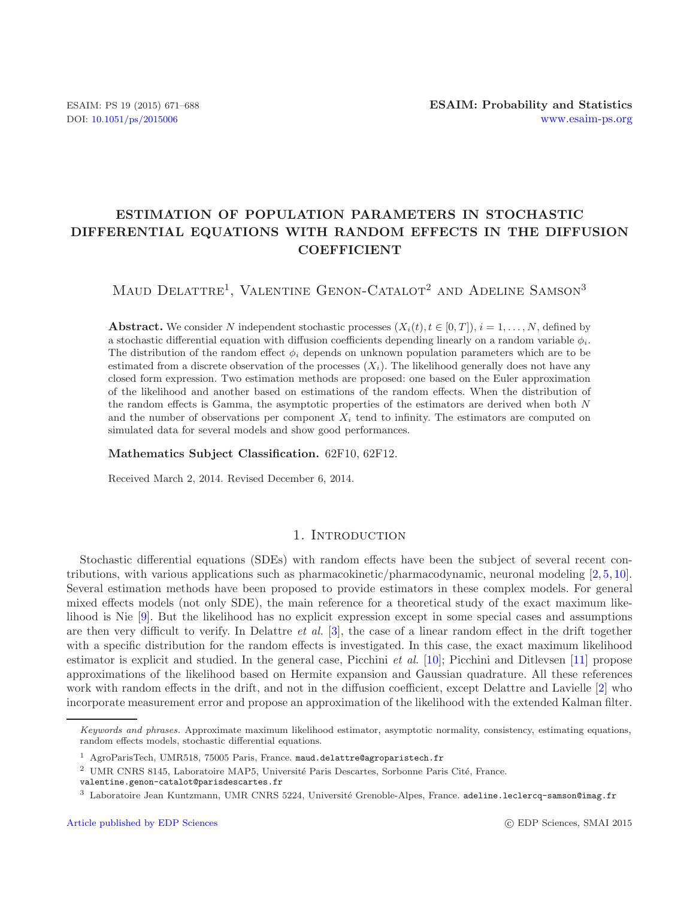# **ESTIMATION OF POPULATION PARAMETERS IN STOCHASTIC DIFFERENTIAL EQUATIONS WITH RANDOM EFFECTS IN THE DIFFUSION COEFFICIENT**

MAUD DELATTRE<sup>1</sup>, VALENTINE GENON-CATALOT<sup>2</sup> AND ADELINE SAMSON<sup>3</sup>

**Abstract.** We consider N independent stochastic processes  $(X_i(t), t \in [0, T])$ ,  $i = 1, \ldots, N$ , defined by a stochastic differential equation with diffusion coefficients depending linearly on a random variable  $\phi_i$ . The distribution of the random effect  $\phi_i$  depends on unknown population parameters which are to be estimated from a discrete observation of the processes  $(X<sub>i</sub>)$ . The likelihood generally does not have any closed form expression. Two estimation methods are proposed: one based on the Euler approximation of the likelihood and another based on estimations of the random effects. When the distribution of the random effects is Gamma, the asymptotic properties of the estimators are derived when both N and the number of observations per component  $X_i$  tend to infinity. The estimators are computed on simulated data for several models and show good performances.

**Mathematics Subject Classification.** 62F10, 62F12.

Received March 2, 2014. Revised December 6, 2014.

## 1. INTRODUCTION

Stochastic differential equations (SDEs) with random effects have been the subject of several recent contributions, with various applications such as pharmacokinetic/pharmacodynamic, neuronal modeling [\[2,](#page-17-0) [5,](#page-17-1) [10](#page-17-2)]. Several estimation methods have been proposed to provide estimators in these complex models. For general mixed effects models (not only SDE), the main reference for a theoretical study of the exact maximum likelihood is Nie [\[9\]](#page-17-3). But the likelihood has no explicit expression except in some special cases and assumptions are then very difficult to verify. In Delattre *et al.* [\[3](#page-17-4)], the case of a linear random effect in the drift together with a specific distribution for the random effects is investigated. In this case, the exact maximum likelihood estimator is explicit and studied. In the general case, Picchini *et al.* [\[10\]](#page-17-2); Picchini and Ditlevsen [\[11\]](#page-17-5) propose approximations of the likelihood based on Hermite expansion and Gaussian quadrature. All these references work with random effects in the drift, and not in the diffusion coefficient, except Delattre and Lavielle [\[2\]](#page-17-0) who incorporate measurement error and propose an approximation of the likelihood with the extended Kalman filter.

*Keywords and phrases.* Approximate maximum likelihood estimator, asymptotic normality, consistency, estimating equations, random effects models, stochastic differential equations.

<sup>&</sup>lt;sup>1</sup> AgroParisTech, UMR518, 75005 Paris, France. maud.delattre@agroparistech.fr

<sup>&</sup>lt;sup>2</sup> UMR CNRS 8145, Laboratoire MAP5, Université Paris Descartes, Sorbonne Paris Cité, France.

valentine.genon-catalot@parisdescartes.fr

 $3$  Laboratoire Jean Kuntzmann, UMR CNRS 5224, Université Grenoble-Alpes, France. adeline.leclercq-samson@imag.fr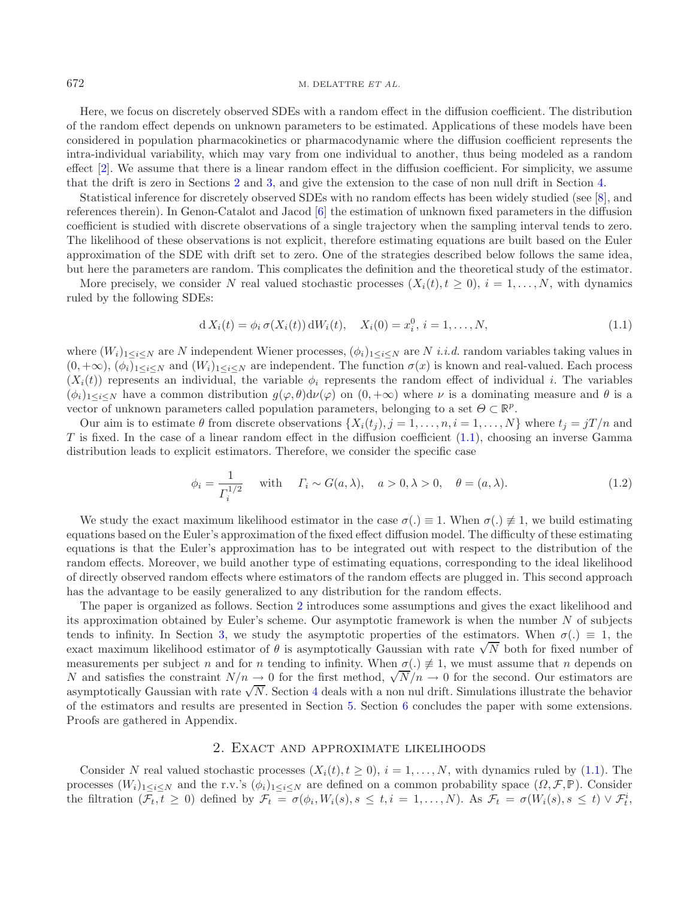<span id="page-1-1"></span>Here, we focus on discretely observed SDEs with a random effect in the diffusion coefficient. The distribution of the random effect depends on unknown parameters to be estimated. Applications of these models have been considered in population pharmacokinetics or pharmacodynamic where the diffusion coefficient represents the intra-individual variability, which may vary from one individual to another, thus being modeled as a random effect [\[2\]](#page-17-0). We assume that there is a linear random effect in the diffusion coefficient. For simplicity, we assume that the drift is zero in Sections [2](#page-1-0) and [3,](#page-3-0) and give the extension to the case of non null drift in Section [4.](#page-6-0)

Statistical inference for discretely observed SDEs with no random effects has been widely studied (see [\[8](#page-17-6)], and references therein). In Genon-Catalot and Jacod [\[6\]](#page-17-7) the estimation of unknown fixed parameters in the diffusion coefficient is studied with discrete observations of a single trajectory when the sampling interval tends to zero. The likelihood of these observations is not explicit, therefore estimating equations are built based on the Euler approximation of the SDE with drift set to zero. One of the strategies described below follows the same idea, but here the parameters are random. This complicates the definition and the theoretical study of the estimator.

More precisely, we consider N real valued stochastic processes  $(X_i(t), t \geq 0)$ ,  $i = 1, \ldots, N$ , with dynamics ruled by the following SDEs:

<span id="page-1-2"></span>
$$
d X_i(t) = \phi_i \sigma(X_i(t)) dW_i(t), \quad X_i(0) = x_i^0, \, i = 1, \dots, N,
$$
\n(1.1)

where  $(W_i)_{1\leq i\leq N}$  are N independent Wiener processes,  $(\phi_i)_{1\leq i\leq N}$  are N *i.i.d.* random variables taking values in  $(0, +\infty)$ ,  $(\phi_i)_{1 \leq i \leq N}$  and  $(W_i)_{1 \leq i \leq N}$  are independent. The function  $\sigma(x)$  is known and real-valued. Each process  $(X_i(t))$  represents an individual, the variable  $\phi_i$  represents the random effect of individual i. The variables  $(\phi_i)_{1\leq i\leq N}$  have a common distribution  $g(\varphi,\theta)d\nu(\varphi)$  on  $(0,+\infty)$  where  $\nu$  is a dominating measure and  $\theta$  is a vector of unknown parameters called population parameters, belonging to a set  $\Theta \subset \mathbb{R}^p$ .

Our aim is to estimate  $\theta$  from discrete observations  $\{X_i(t_j), j = 1, \ldots, n, i = 1, \ldots, N\}$  where  $t_j = jT/n$  and  $T$  is fixed. In the case of a linear random effect in the diffusion coefficient  $(1.1)$ , choosing an inverse Gamma distribution leads to explicit estimators. Therefore, we consider the specific case

$$
\phi_i = \frac{1}{\Gamma_i^{1/2}} \quad \text{with} \quad \Gamma_i \sim G(a,\lambda), \quad a > 0, \lambda > 0, \quad \theta = (a,\lambda). \tag{1.2}
$$

We study the exact maximum likelihood estimator in the case  $\sigma(.) \equiv 1$ . When  $\sigma(.) \not\equiv 1$ , we build estimating equations based on the Euler's approximation of the fixed effect diffusion model. The difficulty of these estimating equations is that the Euler's approximation has to be integrated out with respect to the distribution of the random effects. Moreover, we build another type of estimating equations, corresponding to the ideal likelihood of directly observed random effects where estimators of the random effects are plugged in. This second approach has the advantage to be easily generalized to any distribution for the random effects.

The paper is organized as follows. Section [2](#page-1-0) introduces some assumptions and gives the exact likelihood and its approximation obtained by Euler's scheme. Our asymptotic framework is when the number  $N$  of subjects tends to infinity. In Section [3,](#page-3-0) we study the asymptotic properties of the estimators. When  $\sigma(.) \equiv 1$ , the exact maximum likelihood estimator of  $\theta$  is asymptotically Gaussian with rate  $\sqrt{N}$  both for fixed number of exact maximum likelihood estimator of  $\theta$  is asymptotically Gaussian with rate  $\sqrt{N}$  both for fixed numbe measurements per subject n and for n tending to infinity. When  $\sigma(.) \neq 1$ , we must assume that n depends on measurements per subject *n* and for *n* tending to minity. When  $\sigma(.) \neq 1$ , we must assume that *n* depends on *N* and satisfies the constraint  $N/n \to 0$  for the first method,  $\sqrt{N}/n \to 0$  for the second. Our estimators a A and satisfies the constraint  $N/n \to 0$  for the first method,  $\sqrt{N}/n \to 0$  for the second. Our estimators are asymptotically Gaussian with rate  $\sqrt{N}$ . Section [4](#page-6-0) deals with a non nul drift. Simulations illustrate the beh of the estimators and results are presented in Section [5.](#page-7-0) Section [6](#page-8-0) concludes the paper with some extensions. Proofs are gathered in Appendix.

#### 2. Exact and approximate likelihoods

<span id="page-1-0"></span>Consider N real valued stochastic processes  $(X_i(t), t \geq 0)$ ,  $i = 1, \ldots, N$ , with dynamics ruled by [\(1.1\)](#page-1-1). The processes  $(W_i)_{1\leq i\leq N}$  and the r.v.'s  $(\phi_i)_{1\leq i\leq N}$  are defined on a common probability space  $(\Omega, \mathcal{F}, \mathbb{P})$ . Consider the filtration  $(\mathcal{F}, t > 0)$  defined by  $\mathcal{F}$  =  $(\mathcal{F}^t, W(s) \circ \mathcal{F}^t, W(s) \circ \mathcal{F}^t)$ the filtration  $(\mathcal{F}_t, t \geq 0)$  defined by  $\mathcal{F}_t = \sigma(\phi_i, W_i(s), s \leq t, i = 1, ..., N)$ . As  $\mathcal{F}_t = \sigma(W_i(s), s \leq t) \vee \mathcal{F}_t^i$ ,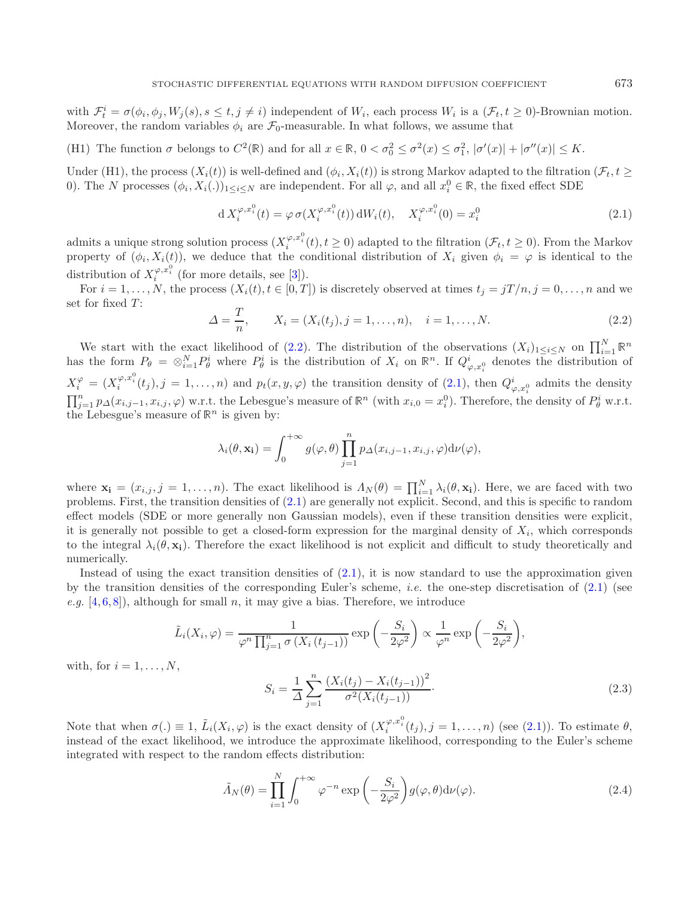<span id="page-2-0"></span>with  $\mathcal{F}_t^i = \sigma(\phi_i, \phi_j, W_j(s), s \le t, j \ne i)$  independent of  $W_i$ , each process  $W_i$  is a  $(\mathcal{F}_t, t \ge 0)$ -Brownian motion. Moreover, the random variables  $\phi_i$  are  $\mathcal{F}_0$ -measurable. In what follows, we assume that

(H1) The function  $\sigma$  belongs to  $C^2(\mathbb{R})$  and for all  $x \in \mathbb{R}$ ,  $0 < \sigma_0^2 \leq \sigma^2(x) \leq \sigma_1^2$ ,  $|\sigma'(x)| + |\sigma''(x)| \leq K$ .

Under (H1), the process  $(X_i(t))$  is well-defined and  $(\phi_i, X_i(t))$  is strong Markov adapted to the filtration  $(\mathcal{F}_t, t \geq 0)$ 0). The N processes  $(\phi_i, X_i(.))_{1 \leq i \leq N}$  are independent. For all  $\varphi$ , and all  $x_i^0 \in \mathbb{R}$ , the fixed effect SDE

<span id="page-2-1"></span>
$$
d X_i^{\varphi, x_i^0}(t) = \varphi \sigma(X_i^{\varphi, x_i^0}(t)) dW_i(t), \quad X_i^{\varphi, x_i^0}(0) = x_i^0
$$
\n(2.1)

admits a unique strong solution process  $(X_i^{\varphi,x_i^0}(t), t \ge 0)$  adapted to the filtration  $(\mathcal{F}_t, t \ge 0)$ . From the Markov property of  $(\phi_i, X_i(t))$ , we deduce that the conditional distribution of  $X_i$  given  $\phi_i = \varphi$  is identical to the distribution of  $X_i^{\varphi,x_i^0}$  (for more details, see [\[3\]](#page-17-4)).

For  $i = 1, \ldots, N$ , the process  $(X_i(t), t \in [0, T])$  is discretely observed at times  $t_j = jT/n$ ,  $j = 0, \ldots, n$  and we set for fixed  $T$ :

$$
\Delta = \frac{T}{n}, \qquad X_i = (X_i(t_j), j = 1, \dots, n), \quad i = 1, \dots, N.
$$
\n(2.2)

We start with the exact likelihood of [\(2.2\)](#page-2-0). The distribution of the observations  $(X_i)_{1\leq i\leq N}$  on  $\prod_{i=1}^N \mathbb{R}^n$  has the form  $P_\theta = \otimes_{i=1}^N P_\theta^i$  where  $P_\theta^i$  is the distribution of  $X_i$  on  $\mathbb{R}^n$ . If  $Q_{\$  $X_i^{\varphi} = (X_i^{\varphi,x_i^0}(t_j), j = 1,\ldots,n)$  and  $p_t(x, y, \varphi)$  the transition density of  $(2.1)$ , then  $Q_{\varphi,x_i^0}^i$  admits the density  $\prod_{j=1}^{n} p_{\Delta}(x_{i,j-1}, x_{i,j}, \varphi)$  w.r.t. the Lebesgue's measure of  $\mathbb{R}^{n}$  (with  $x_{i,0} = x_{i}^{0}$ ). Therefore, the density of  $P_{\theta}^{i}$  w.r.t.<br>the Lebesgue's measure of  $\mathbb{R}^{n}$  is given by: the Lebesgue's measure of  $\mathbb{R}^n$  is given by:

$$
\lambda_i(\theta, \mathbf{x_i}) = \int_0^{+\infty} g(\varphi, \theta) \prod_{j=1}^n p_{\Delta}(x_{i,j-1}, x_{i,j}, \varphi) d\nu(\varphi),
$$

<span id="page-2-3"></span>where  $\mathbf{x_i} = (x_{i,j}, j = 1, \ldots, n)$ . The exact likelihood is  $\Lambda_N(\theta) = \prod_{i=1}^N \lambda_i(\theta, \mathbf{x_i})$ . Here, we are faced with two problems First, the transition densities of (2.1) are generally not explicit. Second, and this is speci problems. First, the transition densities of [\(2.1\)](#page-2-1) are generally not explicit. Second, and this is specific to random effect models (SDE or more generally non Gaussian models), even if these transition densities were explicit, it is generally not possible to get a closed-form expression for the marginal density of  $X_i$ , which corresponds to the integral  $\lambda_i(\theta, \mathbf{x}_i)$ . Therefore the exact likelihood is not explicit and difficult to study theoretically and numerically.

Instead of using the exact transition densities of  $(2.1)$ , it is now standard to use the approximation given by the transition densities of the corresponding Euler's scheme, *i.e.* the one-step discretisation of [\(2.1\)](#page-2-1) (see  $e.g.$  [\[4](#page-17-8), [6](#page-17-7), [8](#page-17-6)]), although for small n, it may give a bias. Therefore, we introduce

$$
\tilde{L}_i(X_i, \varphi) = \frac{1}{\varphi^n \prod_{j=1}^n \sigma(X_i(t_{j-1}))} \exp\left(-\frac{S_i}{2\varphi^2}\right) \propto \frac{1}{\varphi^n} \exp\left(-\frac{S_i}{2\varphi^2}\right),
$$

with, for  $i = 1, \ldots, N$ ,

<span id="page-2-2"></span>
$$
S_i = \frac{1}{\Delta} \sum_{j=1}^n \frac{\left(X_i(t_j) - X_i(t_{j-1})\right)^2}{\sigma^2 \left(X_i(t_{j-1})\right)}.
$$
\n(2.3)

Note that when  $\sigma(.) \equiv 1$ ,  $\tilde{L}_i(X_i, \varphi)$  is the exact density of  $(X_i^{\varphi, x_i^0}(t_j), j = 1, \ldots, n)$  (see [\(2.1\)](#page-2-1)). To estimate  $\theta$ , instead of the exact likelihood, we introduce the approximate likelihood, corresponding to the Euler's scheme integrated with respect to the random effects distribution:

$$
\tilde{\Lambda}_N(\theta) = \prod_{i=1}^N \int_0^{+\infty} \varphi^{-n} \exp\left(-\frac{S_i}{2\varphi^2}\right) g(\varphi, \theta) d\nu(\varphi).
$$
\n(2.4)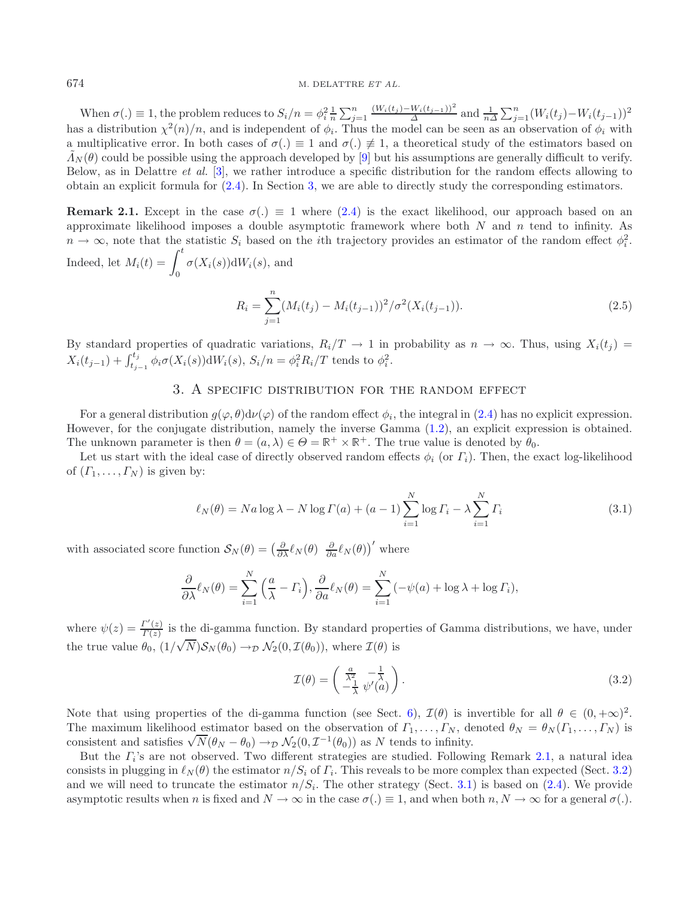When  $\sigma(.) \equiv 1$ , the problem reduces to  $S_i/n = \phi_i^2 \frac{1}{n} \sum_{j=1}^n$  $j=1$  $\frac{(W_i(t_j)-W_i(t_{j-1}))^2}{\Delta}$  and  $\frac{1}{n\Delta}\sum_{j=1}^n (W_i(t_j)-W_i(t_{j-1}))^2$ <br>the model can be seen as an ebservation of  $\phi$ , with has a distribution  $\chi^2(n)/n$ , and is independent of  $\phi_i$ . Thus the model can be seen as an observation of  $\phi_i$  with a multiplicative error. In both cases of  $\sigma(.) \equiv 1$  and  $\sigma(.) \not\equiv 1$ , a theoretical study of the estimators based on  $\tilde{\Lambda}_N(\theta)$  could be possible using the approach developed by [\[9](#page-17-3)] but his assumptions are generally difficult to verify. Below, as in Delattre *et al.* [\[3\]](#page-17-4), we rather introduce a specific distribution for the random effects allowing to obtain an explicit formula for [\(2.4\)](#page-2-2). In Section [3,](#page-3-0) we are able to directly study the corresponding estimators.

<span id="page-3-1"></span>**Remark 2.1.** Except in the case  $\sigma(.) \equiv 1$  where [\(2.4\)](#page-2-2) is the exact likelihood, our approach based on an approximate likelihood imposes a double asymptotic framework where both  $N$  and  $n$  tend to infinity. As  $n \to \infty$ , note that the statistic  $S_i$  based on the *i*th trajectory provides an estimator of the random effect  $\phi_i^2$ . Indeed, let  $M_i(t) = \int_0^t \sigma(X_i(s)) dW_i(s)$ , and

$$
R_i = \sum_{j=1}^{n} (M_i(t_j) - M_i(t_{j-1}))^2 / \sigma^2(X_i(t_{j-1})).
$$
\n(2.5)

<span id="page-3-4"></span><span id="page-3-0"></span>By standard properties of quadratic variations,  $R_i/T \to 1$  in probability as  $n \to \infty$ . Thus, using  $X_i(t_j) =$  $X_i(t_{j-1}) + \int_{t_{j-1}}^{t_j} \phi_i \sigma(X_i(s)) \, dW_i(s), S_i/n = \phi_i^2 R_i/T$  tends to  $\phi_i^2$ .

# 3. A specific distribution for the random effect

For a general distribution  $g(\varphi, \theta) d\nu(\varphi)$  of the random effect  $\phi_i$ , the integral in [\(2.4\)](#page-2-2) has no explicit expression. However, for the conjugate distribution, namely the inverse Gamma [\(1.2\)](#page-1-2), an explicit expression is obtained. The unknown parameter is then  $\theta = (a, \lambda) \in \Theta = \mathbb{R}^+ \times \mathbb{R}^+$ . The true value is denoted by  $\theta_0$ .

Let us start with the ideal case of directly observed random effects  $\phi_i$  (or  $\Gamma_i$ ). Then, the exact log-likelihood of  $(\Gamma_1,\ldots,\Gamma_N)$  is given by:

<span id="page-3-3"></span>
$$
\ell_N(\theta) = Na \log \lambda - N \log \Gamma(a) + (a - 1) \sum_{i=1}^N \log \Gamma_i - \lambda \sum_{i=1}^N \Gamma_i
$$
\n(3.1)

with associated score function  $S_N(\theta) = \left(\frac{\partial}{\partial \lambda} \ell_N(\theta) \frac{\partial}{\partial a} \ell_N(\theta)\right)'$  where

$$
\frac{\partial}{\partial \lambda} \ell_N(\theta) = \sum_{i=1}^N \left( \frac{a}{\lambda} - \Gamma_i \right), \frac{\partial}{\partial a} \ell_N(\theta) = \sum_{i=1}^N \left( -\psi(a) + \log \lambda + \log \Gamma_i \right),
$$

where  $\psi(z) = \frac{\Gamma'(z)}{\Gamma(z)}$  is the di-gamma function. By standard properties of Gamma distributions, we have, under the true value  $\theta_0$ ,  $(1/\sqrt{N})S_N(\theta_0) \rightarrow_{\mathcal{D}} \mathcal{N}_2(0,\mathcal{I}(\theta_0))$ , where  $\mathcal{I}(\theta)$  is

$$
\mathcal{I}(\theta) = \begin{pmatrix} \frac{a}{\lambda^2} & -\frac{1}{\lambda} \\ -\frac{1}{\lambda} & \psi'(a) \end{pmatrix}.
$$
\n(3.2)

Note that using properties of the di-gamma function (see Sect. [6\)](#page-16-0),  $\mathcal{I}(\theta)$  is invertible for all  $\theta \in (0, +\infty)^2$ . The maximum likelihood estimator based on the observation of  $\Gamma_1,\ldots,\Gamma_N$ , denoted  $\theta_N = \theta_N(\Gamma_1,\ldots,\Gamma_N)$  is The maximum intention destimator based on the observation of  $I_1, \ldots, I_N$ , deconsistent and satisfies  $\sqrt{N}(\theta_N - \theta_0) \to_{\mathcal{D}} \mathcal{N}_2(0, \mathcal{I}^{-1}(\theta_0))$  as N tends to infinity.

But the  $\Gamma_i$ 's are not observed. Two different strategies are studied. Following Remark [2.1,](#page-3-1) a natural idea consists in plugging in  $\ell_N(\theta)$  the estimator  $n/S_i$  of  $\Gamma_i$ . This reveals to be more complex than expected (Sect. [3.2\)](#page-5-0) and we will need to truncate the estimator  $n/S_i$ . The other strategy (Sect. [3.1\)](#page-4-0) is based on [\(2.4\)](#page-2-2). We provide asymptotic results when n is fixed and  $N \to \infty$  in the case  $\sigma(.) \equiv 1$ , and when both  $n, N \to \infty$  for a general  $\sigma(.)$ .

<span id="page-3-2"></span>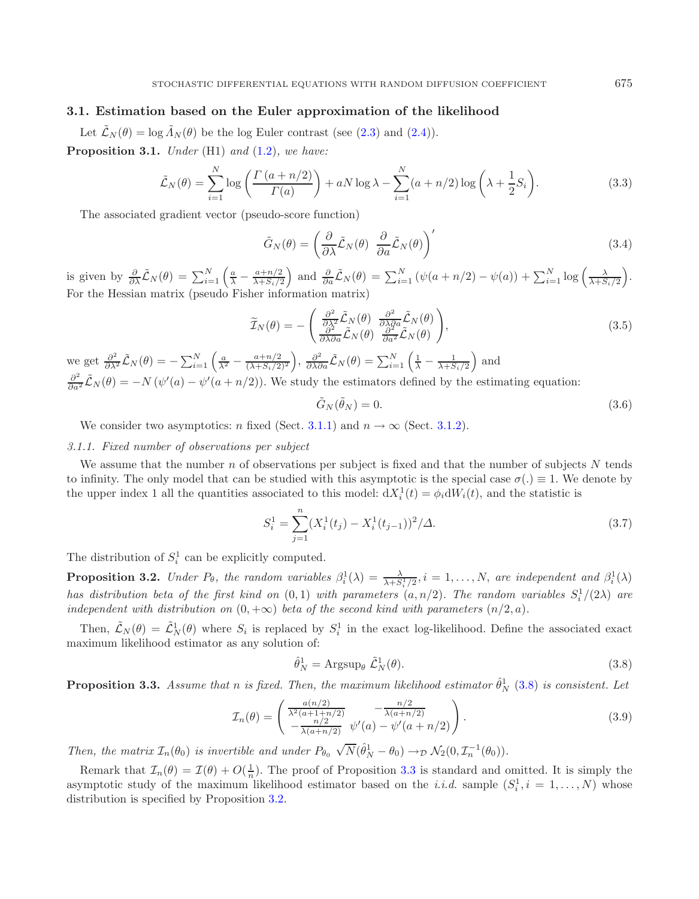# <span id="page-4-0"></span>**3.1. Estimation based on the Euler approximation of the likelihood**

Let  $\tilde{\mathcal{L}}_N(\theta) = \log \tilde{\Lambda}_N(\theta)$  be the log Euler contrast (see [\(2.3\)](#page-2-3) and [\(2.4\)](#page-2-2)). **Proposition 3.1.** *Under* (H1) *and* [\(1.2\)](#page-1-2)*, we have:*

<span id="page-4-8"></span><span id="page-4-5"></span>
$$
\tilde{\mathcal{L}}_N(\theta) = \sum_{i=1}^N \log \left( \frac{\Gamma\left(a + n/2\right)}{\Gamma(a)} \right) + aN \log \lambda - \sum_{i=1}^N (a + n/2) \log \left( \lambda + \frac{1}{2} S_i \right). \tag{3.3}
$$

The associated gradient vector (pseudo-score function)

<span id="page-4-7"></span><span id="page-4-6"></span>
$$
\tilde{G}_N(\theta) = \left(\frac{\partial}{\partial \lambda} \tilde{\mathcal{L}}_N(\theta) \frac{\partial}{\partial a} \tilde{\mathcal{L}}_N(\theta)\right)'
$$
\n(3.4)

is given by  $\frac{\partial}{\partial \lambda} \tilde{\mathcal{L}}_N(\theta) = \sum_{i=1}^N \left( \frac{a}{\lambda} - \frac{a+n/2}{\lambda + S_i/2} \right)$ ) and  $\frac{\partial}{\partial a} \tilde{\mathcal{L}}_N(\theta) = \sum_{i=1}^N (\psi(a+n/2) - \psi(a)) + \sum_{i=1}^N \log \left( \frac{\lambda}{\lambda + S_i/2} \right)$  . For the Hessian matrix (pseudo Fisher information matrix)

$$
\widetilde{\mathcal{I}}_{N}(\theta) = -\left(\frac{\frac{\partial^{2}}{\partial \lambda^{2}} \widetilde{\mathcal{L}}_{N}(\theta)}{\frac{\partial^{2}}{\partial \lambda \partial a} \widetilde{\mathcal{L}}_{N}(\theta)} \frac{\frac{\partial^{2}}{\partial \lambda \partial a} \widetilde{\mathcal{L}}_{N}(\theta)}{\frac{\partial^{2}}{\partial a^{2}} \widetilde{\mathcal{L}}_{N}(\theta)}\right),
$$
\n(3.5)

we get  $\frac{\partial^2}{\partial \lambda^2} \tilde{\mathcal{L}}_N(\theta) = -\sum_{i=1}^N \left( \frac{a}{\lambda^2} - \frac{a+n/2}{(\lambda+S_i/2)^2} \right)$  $\int$ ,  $\frac{\partial^2}{\partial \lambda \partial a} \tilde{\mathcal{L}}_N(\theta) = \sum_{i=1}^N \left( \frac{1}{\lambda} - \frac{1}{\lambda + S_i/2} \right)$ ) and  $\frac{\partial^2}{\partial a^2}$  $\tilde{\mathcal{L}}_N(\theta) = -N(\psi'(a) - \psi'(a+n/2)).$  We study the estimators defined by the estimating equation:

<span id="page-4-9"></span>
$$
\tilde{G}_N(\tilde{\theta}_N) = 0. \tag{3.6}
$$

We consider two asymptotics: n fixed (Sect. [3.1.1\)](#page-4-1) and  $n \to \infty$  (Sect. [3.1.2\)](#page-5-1).

### <span id="page-4-1"></span>*3.1.1. Fixed number of observations per subject*

We assume that the number  $n$  of observations per subject is fixed and that the number of subjects  $N$  tends to infinity. The only model that can be studied with this asymptotic is the special case  $\sigma(.) \equiv 1$ . We denote by the upper index 1 all the quantities associated to this model:  $dX_i^1(t) = \phi_i dW_i(t)$ , and the statistic is

<span id="page-4-2"></span>
$$
S_i^1 = \sum_{j=1}^n (X_i^1(t_j) - X_i^1(t_{j-1}))^2 / \Delta.
$$
 (3.7)

<span id="page-4-4"></span>The distribution of  $S_i^1$  can be explicitly computed.

**Proposition 3.2.** *Under*  $P_{\theta}$ , the random variables  $\beta_i^1(\lambda) = \frac{\lambda}{\lambda + S_i^1/2}$ ,  $i = 1, ..., N$ , are independent and  $\beta_i^1(\lambda)$ *has distribution beta of the first kind on*  $(0,1)$  *with parameters*  $(a, n/2)$ *. The random variables*  $S_i^1/(2\lambda)$  *are independent with distribution on*  $(0, +\infty)$  *beta of the second kind with parameters*  $(n/2, a)$ *.* 

Then,  $\tilde{\mathcal{L}}_N(\theta) = \tilde{\mathcal{L}}_N^1(\theta)$  where  $S_i$  is replaced by  $S_i^1$  in the exact log-likelihood. Define the associated exact maximum likelihood estimator as any solution of:

$$
\hat{\theta}_N^1 = \text{Argsup}_{\theta} \ \tilde{\mathcal{L}}_N^1(\theta). \tag{3.8}
$$

<span id="page-4-3"></span>**Proposition 3.3.** *Assume that n is fixed. Then, the maximum likelihood estimator*  $\hat{\theta}_N^1$  [\(3.8\)](#page-4-2) *is consistent. Let* 

$$
\mathcal{I}_n(\theta) = \begin{pmatrix} \frac{a(n/2)}{\lambda^2 (a+1+n/2)} & -\frac{n/2}{\lambda (a+n/2)} \\ -\frac{n/2}{\lambda (a+n/2)} & \psi'(a) - \psi'(a+n/2) \end{pmatrix}.
$$
\n(3.9)

*Then, the matrix*  $\mathcal{I}_n(\theta_0)$  *is invertible and under*  $P_{\theta_0}$  $\sqrt{N}(\hat{\theta}_N^1 - \theta_0) \rightarrow_{\mathcal{D}} \mathcal{N}_2(0, \mathcal{I}_n^{-1}(\theta_0)).$ 

Remark that  $\mathcal{I}_n(\theta) = \mathcal{I}(\theta) + O(\frac{1}{n})$ . The proof of Proposition [3.3](#page-4-3) is standard and omitted. It is simply the asymptotic study of the maximum likelihood estimator based on the *i.i.d.* sample  $(S_i^1, i = 1, ..., N)$  whose distribution is specified by Proposition [3.2.](#page-4-4)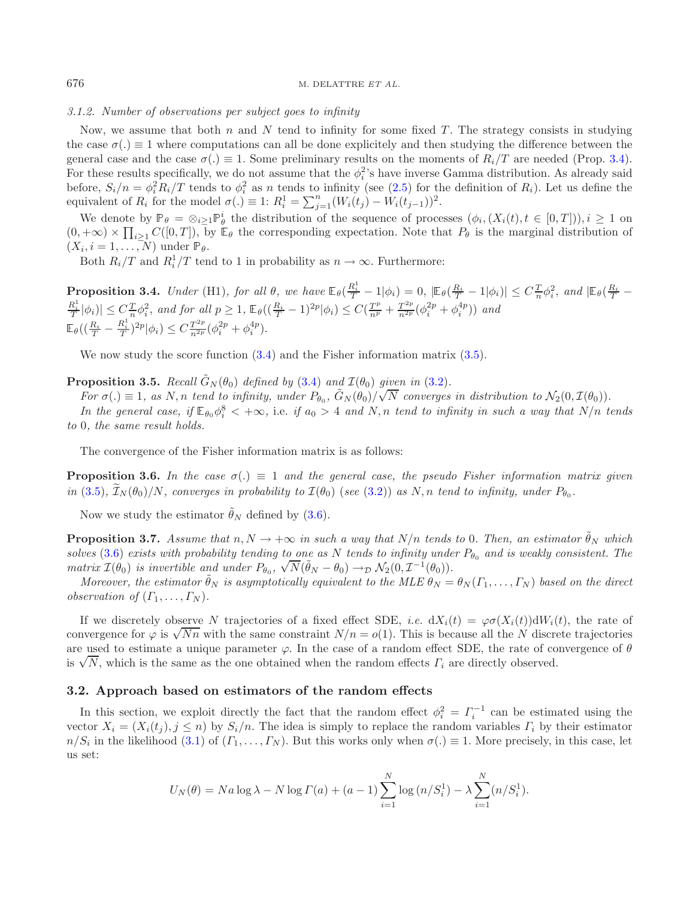## <span id="page-5-1"></span>*3.1.2. Number of observations per subject goes to infinity*

Now, we assume that both  $n$  and  $N$  tend to infinity for some fixed  $T$ . The strategy consists in studying the case  $\sigma(.) \equiv 1$  where computations can all be done explicitely and then studying the difference between the general case and the case  $\sigma(.) \equiv 1$ . Some preliminary results on the moments of  $R_i/T$  are needed (Prop. [3.4\)](#page-5-2). For these results specifically, we do not assume that the  $\phi_i^2$ 's have inverse Gamma distribution. As already said before,  $S_i/n = \phi_i^2 R_i/T$  tends to  $\phi_i^2$  as n tends to infinity (see [\(2.5\)](#page-3-2) for the definition of  $R_i$ ). Let us define the equivalent of  $R_i$  for the model  $\sigma(.) \equiv 1$ :  $R_i^1 = \sum_{j=1}^n (W_i(t_j) - W_i(t_{j-1}))^2$ .

We denote by  $\mathbb{P}_{\theta} = \otimes_{i \geq 1} \mathbb{P}_{\theta}^{i}$  the distribution of the sequence of processes  $(\phi_i, (X_i(t), t \in [0, T]))$ ,  $i \geq 1$  on  $\mathbb{P}_{\theta}$  is  $\mathbb{P}_{\theta}$  in the sequence of processes  $(\phi_i, (X_i(t), t \in [0, T]))$ ,  $i \geq 1$  on  $(0, +\infty) \times \prod_{i\geq 1} C([0, T]),$  by  $\mathbb{E}_{\theta}$  the corresponding expectation. Note that  $P_{\theta}$  is the marginal distribution of  $(X, i-1, N)$  under  $\mathbb{P}_{\theta}$  $(X_i, i = 1, \ldots, N)$  under  $\mathbb{P}_{\theta}$ .

<span id="page-5-4"></span>Both  $R_i/T$  and  $R_i^1/T$  tend to 1 in probability as  $n \to \infty$ . Furthermore:

<span id="page-5-2"></span>**Proposition 3.4.** Under (H1), for all  $\theta$ , we have  $\mathbb{E}_{\theta}(\frac{R_i^1}{T} - 1 | \phi_i) = 0$ ,  $|\mathbb{E}_{\theta}(\frac{R_i}{T} - 1 | \phi_i)| \leq C \frac{T}{n} \phi_i^2$ , and  $|\mathbb{E}_{\theta}(\frac{R_i}{T} - \frac{R_i^1}{T} | \phi_i)| \leq C \frac{T}{n} \phi_i^2$ , and for all  $p \geq 1$ ,  $\mathbb{E}_{\theta}((\$  $\mathbb{E}_{\theta} \left( \left( \frac{R_i}{T} - \frac{R_i^1}{T} \right)^{2p} \middle| \phi_i \right) \leq C \frac{T^{2p}}{n^{2p}} (\phi_i^{2p} + \phi_i^{4p}).$ 

<span id="page-5-5"></span>We now study the score function  $(3.4)$  and the Fisher information matrix  $(3.5)$ .

<span id="page-5-3"></span>**Proposition 3.5.** *Recall*  $\tilde{G}_N(\theta_0)$  *defined by* [\(3.4\)](#page-4-5) *and*  $\mathcal{I}(\theta_0)$  *given in* [\(3.2\)](#page-3-3)*.* 

*For*  $\sigma(.) \equiv 1$ , as N,n *tend to infinity, under*  $P_{\theta_0}$ ,  $\tilde{G}_N(\theta_0)/\sqrt{N}$  *converges in distribution to*  $N_2(0, \mathcal{I}(\theta_0))$ . *In the general case, if*  $\mathbb{E}_{\theta_0} \phi_i^8 < +\infty$ , i.e. *if*  $a_0 > 4$  *and*  $N, n$  *tend to infinity in such a way that*  $N/n$  *tends*<br>0. the same result holds *to* 0*, the same result holds.*

The convergence of the Fisher information matrix is as follows:

**Proposition 3.6.** In the case  $\sigma(.) \equiv 1$  and the general case, the pseudo Fisher information matrix given  $\int \ln(3.5), \mathcal{I}_N(\theta_0)/N$  $\int \ln(3.5), \mathcal{I}_N(\theta_0)/N$  $\int \ln(3.5), \mathcal{I}_N(\theta_0)/N$ , converges in probability to  $\mathcal{I}(\theta_0)$  (see [\(3.2\)](#page-3-3)) as  $N, n$  tend to infinity, under  $P_{\theta_0}$ .

Now we study the estimator  $\tilde{\theta}_N$  defined by [\(3.6\)](#page-4-7).

**Proposition 3.7.** *Assume that*  $n, N \to +\infty$  *in such a way that*  $N/n$  *tends to* 0*. Then, an estimator*  $\tilde{\theta}_N$  *which solves* [\(3.6\)](#page-4-7) *exists with probability tending to one as* N *tends to infinity under*  $P_{\theta_0}$  *and is weakly consistent. The matrix*  $I(\theta_0)$  *is invertible and under*  $P_{\theta_0}$ ,  $\sqrt{N}(\tilde{\theta}_N - \theta_0) \rightarrow_{\mathcal{D}} \mathcal{N}_2(0, \mathcal{I}^{-1}(\theta_0)).$ <br> *Moreover* the estimator  $\tilde{\theta}$  is commutatively equivalent to the MLE 0

*Moreover, the estimator*  $\theta_N$  *is asymptotically equivalent to the MLE*  $\theta_N = \theta_N(T_1, \ldots, T_N)$  *based on the direct observation of*  $(\Gamma_1, \ldots, \Gamma_N)$ *.* 

If we discretely observe N trajectories of a fixed effect SDE, *i.e.*  $dX_i(t) = \varphi \sigma(X_i(t)) dW_i(t)$ , the rate of If we discretely observe N trajectories of a fixed effect SDE, *i.e.*  $dx_i(t) = \varphi \sigma(x_i(t)) \, dW_i(t)$ , the rate of convergence for  $\varphi$  is  $\sqrt{Nn}$  with the same constraint  $N/n = o(1)$ . This is because all the N discrete trajector are used to estimate a unique parameter  $\varphi$ . In the case of a random effect SDE, the rate of convergence of  $\theta$ are used to estimate a unique parameter  $\varphi$ . In the case of a random effects  $\Gamma_i$  are directly observed.<br>is  $\sqrt{N}$ , which is the same as the one obtained when the random effects  $\Gamma_i$  are directly observed.

### <span id="page-5-0"></span>**3.2. Approach based on estimators of the random effects**

In this section, we exploit directly the fact that the random effect  $\phi_i^2 = \Gamma_i^{-1}$  can be estimated using the vector  $X_i = (X_i(t_i), j \leq n)$  by  $S_i/n$ . The idea is simply to replace the random variables  $\Gamma_i$  by their estimator  $n/S_i$  in the likelihood [\(3.1\)](#page-3-4) of  $(\Gamma_1,\ldots,\Gamma_N)$ . But this works only when  $\sigma(.)\equiv 1$ . More precisely, in this case, let us set:

$$
U_N(\theta) = Na \log \lambda - N \log \Gamma(a) + (a - 1) \sum_{i=1}^{N} \log (n/S_i^1) - \lambda \sum_{i=1}^{N} (n/S_i^1).
$$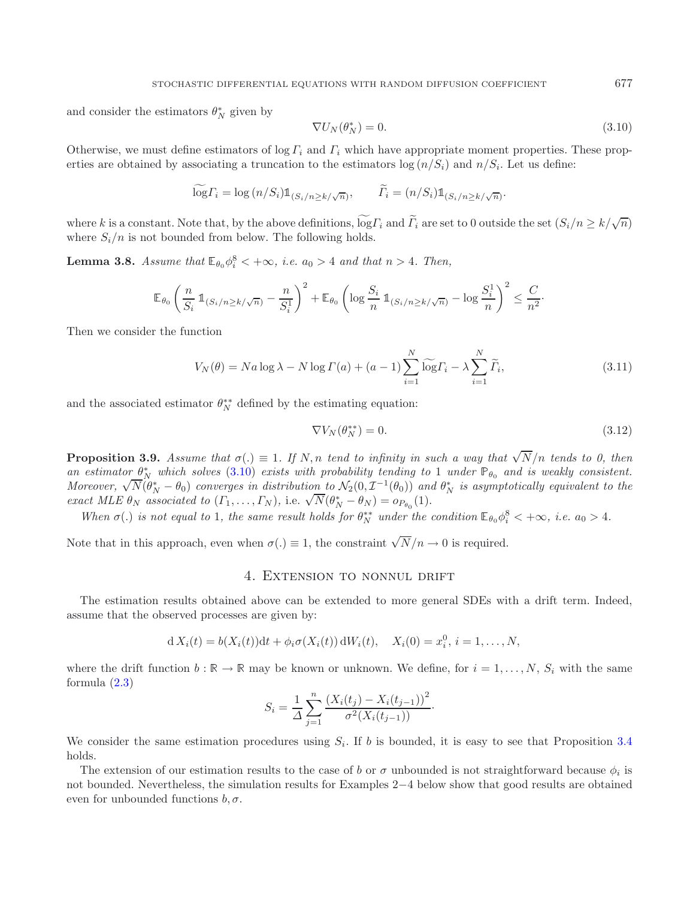<span id="page-6-1"></span>and consider the estimators  $\theta_N^*$  given by

<span id="page-6-3"></span>
$$
\nabla U_N(\theta_N^*) = 0. \tag{3.10}
$$

Otherwise, we must define estimators of  $\log \Gamma_i$  and  $\Gamma_i$  which have appropriate moment properties. These properties are obtained by associating a truncation to the estimators  $\log(n/S_i)$  and  $n/S_i$ . Let us define:

$$
\widetilde{\log} \Gamma_i = \log \left( n / S_i \right) \mathbb{1}_{\left( S_i / n \ge k / \sqrt{n} \right)}, \qquad \widetilde{\Gamma}_i = \left( n / S_i \right) \mathbb{1}_{\left( S_i / n \ge k / \sqrt{n} \right)}.
$$

where k is a constant. Note that, by the above definitions,  $\widetilde{\log} \Gamma_i$  and  $\widetilde{\Gamma}_i$  are set to 0 outside the set  $(S_i/n \ge k/\sqrt{n})$ where  $S_i/n$  is not bounded from below. The following holds.

**Lemma 3.8.** *Assume that*  $\mathbb{E}_{\theta_0} \phi_i^8 < +\infty$ *, i.e.*  $a_0 > 4$  *and that*  $n > 4$ *. Then,* 

$$
\mathbb{E}_{\theta_0} \left( \frac{n}{S_i} \, \mathbb{1}_{(S_i/n \ge k/\sqrt{n})} - \frac{n}{S_i^1} \right)^2 + \mathbb{E}_{\theta_0} \left( \log \frac{S_i}{n} \, \mathbb{1}_{(S_i/n \ge k/\sqrt{n})} - \log \frac{S_i^1}{n} \right)^2 \le \frac{C}{n^2}.
$$

Then we consider the function

$$
V_N(\theta) = Na \log \lambda - N \log \Gamma(a) + (a - 1) \sum_{i=1}^N \widetilde{\log} \Gamma_i - \lambda \sum_{i=1}^N \widetilde{\Gamma}_i,
$$
\n(3.11)

and the associated estimator  $\theta_N^{**}$  defined by the estimating equation:

$$
\nabla V_N(\theta_N^{**}) = 0. \tag{3.12}
$$

<span id="page-6-2"></span>**Proposition 3.9.** *Assume that*  $\sigma(.) \equiv 1$ *. If* N,n *tend to infinity in such a way that*  $\sqrt{N}/n$  *tends to 0, then*  $an$  estimator  $\theta_N^*$  which solves [\(3.10\)](#page-6-1) exists with probability tending to 1 under  $\mathbb{P}_{\theta_0}$  and is weakly consistent. *Moreover,*  $\sqrt{N}(\theta_N^* - \theta_0)$  *converges in distribution to*  $N_2(0, \mathcal{I}^{-1}(\theta_0))$  *and*  $\theta_N^*$  *is asymptotically equivalent to the*<br>*and*  $M F e^{\theta_0}$  *converges in distribution to*  $N_2(0, \mathcal{I}^{-1}(\theta_0))$  *and*  $\theta_N^*$ *exact MLE*  $\theta_N$  *associated to*  $(\Gamma_1, ..., \Gamma_N)$ *,* i.e.  $\sqrt{N}(\theta_N^* - \theta_N) = o_{P_{\theta_0}}(1)$ .

*When*  $\sigma(.)$  *is not equal to* 1*, the same result holds for*  $\theta_N^{**}$  *under the condition*  $\mathbb{E}_{\theta_0} \phi_i^8 < +\infty$ *, i.e.*  $a_0 > 4$ *.* 

<span id="page-6-0"></span>Note that in this approach, even when  $\sigma(.) \equiv 1$ , the constraint  $\sqrt{N}/n \to 0$  is required.

## 4. Extension to nonnul drift

The estimation results obtained above can be extended to more general SDEs with a drift term. Indeed, assume that the observed processes are given by:

$$
d X_i(t) = b(X_i(t))dt + \phi_i \sigma(X_i(t)) dW_i(t), \quad X_i(0) = x_i^0, \, i = 1, \dots, N,
$$

where the drift function  $b : \mathbb{R} \to \mathbb{R}$  may be known or unknown. We define, for  $i = 1, \ldots, N$ ,  $S_i$  with the same formula [\(2.3\)](#page-2-3)

$$
S_i = \frac{1}{\Delta} \sum_{j=1}^n \frac{\left(X_i(t_j) - X_i(t_{j-1})\right)^2}{\sigma^2(X_i(t_{j-1}))}.
$$

We consider the same estimation procedures using  $S_i$ . If b is bounded, it is easy to see that Proposition [3.4](#page-5-2) holds.

The extension of our estimation results to the case of b or  $\sigma$  unbounded is not straightforward because  $\phi_i$  is not bounded. Nevertheless, the simulation results for Examples 2−4 below show that good results are obtained even for unbounded functions  $b, \sigma$ .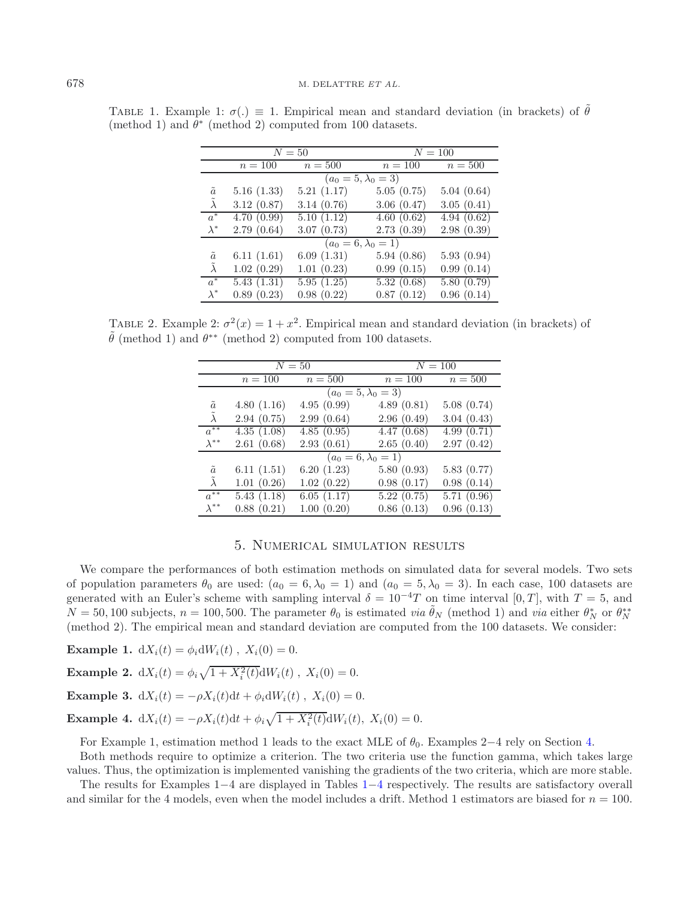|             | $N=50$                           |            |            | $N = 100$  |  |
|-------------|----------------------------------|------------|------------|------------|--|
|             | $n=100$                          | $n=500$    | $n = 100$  | $n=500$    |  |
|             | $(a_0 = 5, \lambda_0 = 3)$       |            |            |            |  |
| $\tilde{a}$ | 5.16(1.33)                       | 5.21(1.17) | 5.05(0.75) | 5.04(0.64) |  |
| $\lambda$   | 3.12(0.87)                       | 3.14(0.76) | 3.06(0.47) | 3.05(0.41) |  |
| $a^*$       | 4.70(0.99)                       | 5.10(1.12) | 4.60(0.62) | 4.94(0.62) |  |
| $\lambda^*$ | 2.79(0.64)                       | 3.07(0.73) | 2.73(0.39) | 2.98(0.39) |  |
|             | $(a_0=6,\lambda_0=\overline{1)}$ |            |            |            |  |
| $\tilde{a}$ | 6.11(1.61)                       | 6.09(1.31) | 5.94(0.86) | 5.93(0.94) |  |
| $\lambda$   | 1.02(0.29)                       | 1.01(0.23) | 0.99(0.15) | 0.99(0.14) |  |
| $a^*$       | 5.43(1.31)                       | 5.95(1.25) | 5.32(0.68) | 5.80(0.79) |  |
| $\lambda^*$ | 0.89(0.23)                       | 0.98(0.22) | 0.87(0.12) | 0.96(0.14) |  |

<span id="page-7-1"></span>TABLE 1. Example 1:  $\sigma(.) \equiv 1$ . Empirical mean and standard deviation (in brackets) of  $\tilde{\theta}$ (method 1) and  $\theta^*$  (method 2) computed from 100 datasets.

TABLE 2. Example 2:  $\sigma^2(x) = 1 + x^2$ . Empirical mean and standard deviation (in brackets) of  $\tilde{\theta}$  (method 1) and  $\theta^{**}$  (method 2) computed from 100 datasets.

|                   | $N=50$                     |            | $N = 100$  |            |  |
|-------------------|----------------------------|------------|------------|------------|--|
|                   | $n=100$                    | $n=500$    | $n=100$    | $n=500$    |  |
|                   | $(a_0 = 5, \lambda_0 = 3)$ |            |            |            |  |
| $\tilde{a}$       | 4.80(1.16)                 | 4.95(0.99) | 4.89(0.81) | 5.08(0.74) |  |
| $\tilde{\lambda}$ | 2.94(0.75)                 | 2.99(0.64) | 2.96(0.49) | 3.04(0.43) |  |
| $a^{**}$          | 4.35(1.08)                 | 4.85(0.95) | 4.47(0.68) | 4.99(0.71) |  |
| $\lambda^{**}$    | 2.61(0.68)                 | 2.93(0.61) | 2.65(0.40) | 2.97(0.42) |  |
|                   | $(a_0 = 6, \lambda_0 = 1)$ |            |            |            |  |
| $\tilde{a}$       | 6.11(1.51)                 | 6.20(1.23) | 5.80(0.93) | 5.83(0.77) |  |
| $\tilde{\lambda}$ | 1.01(0.26)                 | 1.02(0.22) | 0.98(0.17) | 0.98(0.14) |  |
| $a^{**}$          | 5.43(1.18)                 | 6.05(1.17) | 5.22(0.75) | 5.71(0.96) |  |
| $\lambda^{**}$    | 0.88(0.21)                 | 1.00(0.20) | 0.86(0.13) | 0.96(0.13) |  |

#### 5. Numerical simulation results

<span id="page-7-0"></span>We compare the performances of both estimation methods on simulated data for several models. Two sets of population parameters  $\theta_0$  are used:  $(a_0 = 6, \lambda_0 = 1)$  and  $(a_0 = 5, \lambda_0 = 3)$ . In each case, 100 datasets are generated with an Euler's scheme with sampling interval  $\delta = 10^{-4}T$  on time interval [0, T], with  $T = 5$ , and  $N = 50, 100$  subjects,  $n = 100, 500$ . The parameter  $\theta_0$  is estimated *via*  $\tilde{\theta}_N$  (method 1) and *via* either  $\theta_N^*$  or  $\theta_N^{**}$ (method 2). The empirical mean and standard deviation are computed from the 100 datasets. We consider:

**Example 1.**  $dX_i(t) = \phi_i dW_i(t)$ ,  $X_i(0) = 0$ . **Example 2.**  $dX_i(t) = \phi_i \sqrt{1 + X_i^2(t)} dW_i(t)$ ,  $X_i(0) = 0$ . **Example 3.**  $dX_i(t) = -\rho X_i(t)dt + \phi_i dW_i(t)$ ,  $X_i(0) = 0$ . **Example 4.**  $dX_i(t) = -\rho X_i(t)dt + \phi_i \sqrt{1 + X_i^2(t)}dW_i(t)$ ,  $X_i(0) = 0$ .

For Example 1, estimation method 1 leads to the exact MLE of  $\theta_0$ . Examples 2–4 rely on Section [4.](#page-6-0)

Both methods require to optimize a criterion. The two criteria use the function gamma, which takes large values. Thus, the optimization is implemented vanishing the gradients of the two criteria, which are more stable.

The results for Examples 1−4 are displayed in Tables [1](#page-7-1)−[4](#page-8-1) respectively. The results are satisfactory overall and similar for the 4 models, even when the model includes a drift. Method 1 estimators are biased for  $n = 100$ .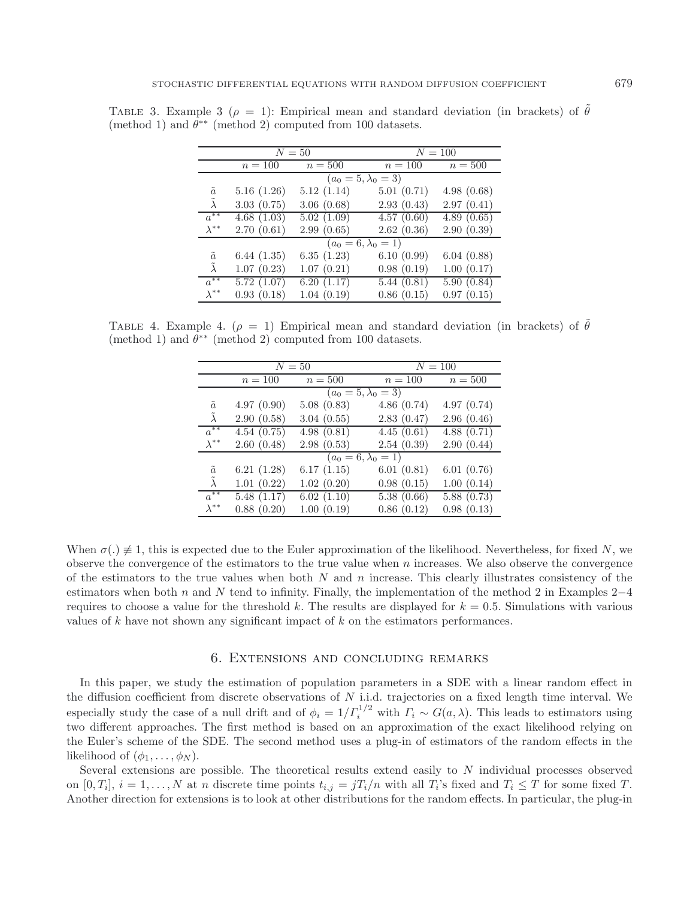|                   | $N=50$                     |            | $N = 100$                  |            |  |
|-------------------|----------------------------|------------|----------------------------|------------|--|
|                   | $n = 100$                  | $n=500$    | $n = 100$                  | $n = 500$  |  |
|                   | $(a_0 = 5, \lambda_0 = 3)$ |            |                            |            |  |
| $\tilde{a}$       | 5.16(1.26)                 | 5.12(1.14) | 5.01(0.71)                 | 4.98(0.68) |  |
| $\tilde{\lambda}$ | 3.03(0.75)                 | 3.06(0.68) | 2.93(0.43)                 | 2.97(0.41) |  |
| $a^{**}$          | 4.68(1.03)                 | 5.02(1.09) | 4.57(0.60)                 | 4.89(0.65) |  |
| $\lambda^{**}$    | 2.70(0.61)                 | 2.99(0.65) | 2.62(0.36)                 | 2.90(0.39) |  |
|                   |                            |            | $(a_0 = 6, \lambda_0 = 1)$ |            |  |
| $\tilde{a}$       | 6.44(1.35)                 | 6.35(1.23) | 6.10(0.99)                 | 6.04(0.88) |  |
| $\tilde{\lambda}$ | 1.07(0.23)                 | 1.07(0.21) | 0.98(0.19)                 | 1.00(0.17) |  |
| $a^{**}$          | 5.72(1.07)                 | 6.20(1.17) | 5.44(0.81)                 | 5.90(0.84) |  |
| $\lambda^{**}$    | 0.93(0.18)                 | 1.04(0.19) | 0.86(0.15)                 | 0.97(0.15) |  |

<span id="page-8-1"></span>TABLE 3. Example 3 ( $\rho = 1$ ): Empirical mean and standard deviation (in brackets) of  $\tilde{\theta}$ (method 1) and  $\theta^{**}$  (method 2) computed from 100 datasets.

TABLE 4. Example 4. ( $\rho = 1$ ) Empirical mean and standard deviation (in brackets) of  $\tilde{\theta}$ (method 1) and  $\theta^{**}$  (method 2) computed from 100 datasets.

|                   | $N=50$                     |            | $N = 100$  |            |  |
|-------------------|----------------------------|------------|------------|------------|--|
|                   | $n=100$                    | $n=500$    | $n=100$    | $n=500$    |  |
|                   | $(a_0 = 5, \lambda_0 = 3)$ |            |            |            |  |
| $\tilde{a}$       | 4.97(0.90)                 | 5.08(0.83) | 4.86(0.74) | 4.97(0.74) |  |
| $\tilde{\lambda}$ | 2.90(0.58)                 | 3.04(0.55) | 2.83(0.47) | 2.96(0.46) |  |
| $a^{**}$          | 4.54(0.75)                 | 4.98(0.81) | 4.45(0.61) | 4.88(0.71) |  |
| $\lambda^{**}$    | 2.60(0.48)                 | 2.98(0.53) | 2.54(0.39) | 2.90(0.44) |  |
|                   | $(a_0 = 6, \lambda_0 = 1)$ |            |            |            |  |
| $\tilde{a}$       | 6.21(1.28)                 | 6.17(1.15) | 6.01(0.81) | 6.01(0.76) |  |
| $\tilde{\lambda}$ | 1.01(0.22)                 | 1.02(0.20) | 0.98(0.15) | 1.00(0.14) |  |
| $a^{**}$          | 5.48(1.17)                 | 6.02(1.10) | 5.38(0.66) | 5.88(0.73) |  |
| $\lambda^{**}$    | 0.88(0.20)                 | 1.00(0.19) | 0.86(0.12) | 0.98(0.13) |  |

When  $\sigma(.) \not\equiv 1$ , this is expected due to the Euler approximation of the likelihood. Nevertheless, for fixed N, we observe the convergence of the estimators to the true value when  $n$  increases. We also observe the convergence of the estimators to the true values when both  $N$  and  $n$  increase. This clearly illustrates consistency of the estimators when both n and N tend to infinity. Finally, the implementation of the method 2 in Examples  $2-4$ requires to choose a value for the threshold k. The results are displayed for  $k = 0.5$ . Simulations with various values of k have not shown any significant impact of k on the estimators performances.

## 6. Extensions and concluding remarks

<span id="page-8-0"></span>In this paper, we study the estimation of population parameters in a SDE with a linear random effect in the diffusion coefficient from discrete observations of N i.i.d. trajectories on a fixed length time interval. We especially study the case of a null drift and of  $\phi_i = 1/\Gamma_i^{1/2}$  with  $\Gamma_i \sim G(a,\lambda)$ . This leads to estimators using two different approaches. The first method is based on an approximation of the exact likelihood relying on the Euler's scheme of the SDE. The second method uses a plug-in of estimators of the random effects in the likelihood of  $(\phi_1,\ldots,\phi_N)$ .

Several extensions are possible. The theoretical results extend easily to N individual processes observed on  $[0, T_i], i = 1, \ldots, N$  at n discrete time points  $t_{i,j} = jT_i/n$  with all  $T_i$ 's fixed and  $T_i \leq T$  for some fixed T. Another direction for extensions is to look at other distributions for the random effects. In particular, the plug-in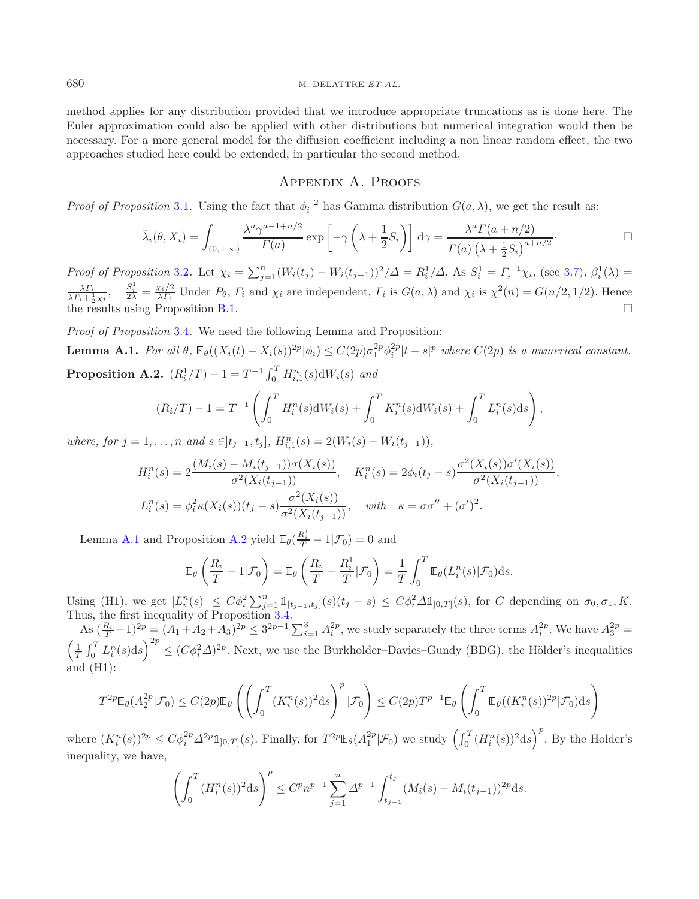method applies for any distribution provided that we introduce appropriate truncations as is done here. The Euler approximation could also be applied with other distributions but numerical integration would then be necessary. For a more general model for the diffusion coefficient including a non linear random effect, the two approaches studied here could be extended, in particular the second method.

# <span id="page-9-0"></span>Appendix A. Proofs

*Proof of Proposition* [3.1](#page-4-8). Using the fact that  $\phi_i^{-2}$  has Gamma distribution  $G(a, \lambda)$ , we get the result as:

$$
\tilde{\lambda}_i(\theta, X_i) = \int_{(0, +\infty)} \frac{\lambda^a \gamma^{a-1+n/2}}{\Gamma(a)} \exp\left[-\gamma \left(\lambda + \frac{1}{2} S_i\right)\right] d\gamma = \frac{\lambda^a \Gamma(a+n/2)}{\Gamma(a) \left(\lambda + \frac{1}{2} S_i\right)^{a+n/2}}.
$$

*Proof of Proposition* [3.2](#page-4-4). Let  $\chi_i = \sum_{j=1}^n (W_i(t_j) - W_i(t_{j-1}))^2 / \Delta = R_i^1 / \Delta$ . As  $S_i^1 = \Gamma_i^{-1} \chi_i$ , (see [3.7\)](#page-4-9),  $\beta_i^1 (\lambda) =$  $\frac{\lambda \Gamma_i}{\lambda \Gamma_i + \frac{1}{2}\chi_i}, \quad \frac{S_i^1}{2\lambda} = \frac{\chi_i/2}{\lambda \Gamma_i}$  Under  $P_\theta, \Gamma_i$  and  $\chi_i$  are independent,  $\Gamma_i$  is  $G(a, \lambda)$  and  $\chi_i$  is  $\chi^2(n) = G(n/2, 1/2)$ . Hence the results using Proposition [B.1.](#page-16-1)  $\Box$ 

*Proof of Proposition* [3.4](#page-5-2)*.* We need the following Lemma and Proposition:

<span id="page-9-1"></span>**Lemma A.1.** For all  $\theta$ ,  $\mathbb{E}_{\theta}((X_i(t) - X_i(s))^{2p}|\phi_i) \leq C(2p)\sigma_1^{2p}\phi_i^{2p}|t-s|^p$  where  $C(2p)$  is a numerical constant. **Proposition A.2.**  $(R_i^1/T) - 1 = T^{-1} \int_0^T H_{i,1}^n(s) dW_i(s)$  and

$$
(R_i/T) - 1 = T^{-1} \left( \int_0^T H_i^n(s) dW_i(s) + \int_0^T K_i^n(s) dW_i(s) + \int_0^T L_i^n(s) ds \right),
$$

*where, for*  $j = 1, ..., n$  *and*  $s \in ]t_{j-1}, t_j]$ *,*  $H_{i,1}^n(s) = 2(W_i(s) - W_i(t_{j-1}))$ *,* 

$$
H_i^n(s) = 2\frac{(M_i(s) - M_i(t_{j-1}))\sigma(X_i(s))}{\sigma^2(X_i(t_{j-1}))}, \quad K_i^n(s) = 2\phi_i(t_j - s)\frac{\sigma^2(X_i(s))\sigma'(X_i(s))}{\sigma^2(X_i(t_{j-1}))},
$$
  

$$
L_i^n(s) = \phi_i^2 \kappa(X_i(s))(t_j - s)\frac{\sigma^2(X_i(s))}{\sigma^2(X_i(t_{j-1}))}, \quad \text{with} \quad \kappa = \sigma\sigma'' + (\sigma')^2.
$$

Lemma [A.1](#page-9-0) and Proposition [A.2](#page-9-1) yield  $\mathbb{E}_{\theta}(\frac{R_i^1}{T} - 1 | \mathcal{F}_0) = 0$  and

$$
\mathbb{E}_{\theta}\left(\frac{R_i}{T} - 1|\mathcal{F}_0\right) = \mathbb{E}_{\theta}\left(\frac{R_i}{T} - \frac{R_i^1}{T}|\mathcal{F}_0\right) = \frac{1}{T} \int_0^T \mathbb{E}_{\theta}(L_i^n(s)|\mathcal{F}_0) ds.
$$

Using (H1), we get  $|L_i^n(s)| \leq C\phi_i^2 \sum_{j=1}^n \mathbb{1}_{[t_{j-1},t_j]}(s)(t_j-s) \leq C\phi_i^2 \Delta \mathbb{1}_{[0,T]}(s)$ , for C depending on  $\sigma_0, \sigma_1, K$ .<br>Thus, the first inequality of Proposition [3.4.](#page-5-2)

As  $(\frac{R_i}{T}-1)^{2p} = (A_1+A_2+A_3)^{2p} \leq 3^{2p-1} \sum_{i=1}^3 A_i^{2p}$ , we study separately the three terms  $A_i^{2p}$ . We have  $A_3^{2p}$ As  $\left(\frac{R_i}{T}-1\right)^{2p} = (A_1 + A_2 + A_3)^{2p} \leq 3^{2p-1} \sum_{i=1}^3 A_i^{2p}$ , we study separately the three terms  $A_i^{2p}$ . We have  $A_3^{2p} = \left(\frac{1}{T} \int_0^T L_i^n(s) \, ds\right)^{2p} \leq (C\phi_i^2 \Delta)^{2p}$ . Next, we use the Burkholder–Davies–Gund and (H1):

$$
T^{2p} \mathbb{E}_{\theta}(A_2^{2p} | \mathcal{F}_0) \le C(2p) \mathbb{E}_{\theta}\left(\left(\int_0^T (K_i^n(s))^2 ds\right)^p | \mathcal{F}_0\right) \le C(2p)T^{p-1} \mathbb{E}_{\theta}\left(\int_0^T \mathbb{E}_{\theta}((K_i^n(s))^2 p | \mathcal{F}_0) ds\right)
$$

where  $(K_i^n(s))^{2p} \leq C\phi_i^{2p}\Delta^{2p}\mathbb{1}_{[0,T]}(s)$ . Finally, for  $T^{2p}\mathbb{E}_{\theta}(A_1^{2p}|\mathcal{F}_0)$  we study  $\left(\int_0^T (H_i^n(s))^2 ds\right)^p$ . By the Holder's inequality, we have,

$$
\left(\int_0^T (H_i^n(s))^2 ds\right)^p \le C^p n^{p-1} \sum_{j=1}^n \Delta^{p-1} \int_{t_{j-1}}^{t_j} (M_i(s) - M_i(t_{j-1}))^{2p} ds.
$$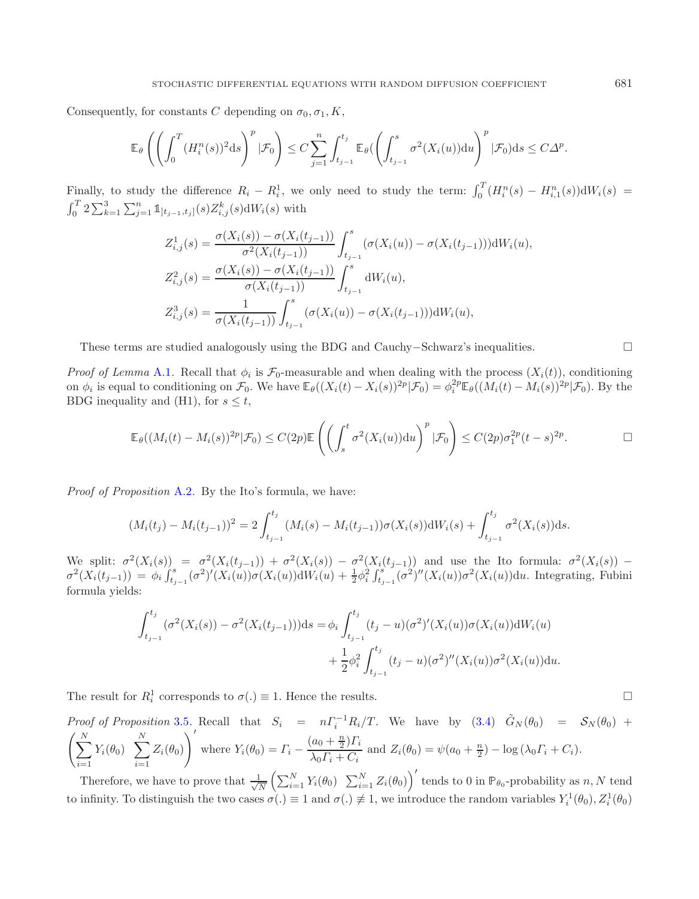Consequently, for constants C depending on  $\sigma_0$ ,  $\sigma_1$ , K,

$$
\mathbb{E}_{\theta}\left(\left(\int_0^T (H_i^n(s))^2 \mathrm{d}s\right)^p|\mathcal{F}_0\right) \leq C \sum_{j=1}^n \int_{t_{j-1}}^{t_j} \mathbb{E}_{\theta}\left(\left(\int_{t_{j-1}}^s \sigma^2(X_i(u)) \mathrm{d}u\right)^p|\mathcal{F}_0)\mathrm{d}s \leq C\Delta^p.
$$

Finally, to study the difference  $R_i - R_i^1$ , we only need to study the term:  $\int_0^T (H_i^n(s) - H_{i,1}^n(s)) dW_i(s) = \int_0^T 2 \sum_{k=1}^3 \sum_{j=1}^n \mathbb{1}_{[t_{j-1},t_j]}(s) Z_{i,j}^k(s) dW_i(s)$  with  $\sum_{j=1}^{n} \mathbb{1}_{[t_{j-1},t_j]}(s) Z_{i,j}^k(s) dW_i(s)$  with

$$
Z_{i,j}^1(s) = \frac{\sigma(X_i(s)) - \sigma(X_i(t_{j-1}))}{\sigma^2(X_i(t_{j-1}))} \int_{t_{j-1}}^s (\sigma(X_i(u)) - \sigma(X_i(t_{j-1}))) \mathrm{d}W_i(u),
$$
  
\n
$$
Z_{i,j}^2(s) = \frac{\sigma(X_i(s)) - \sigma(X_i(t_{j-1}))}{\sigma(X_i(t_{j-1}))} \int_{t_{j-1}}^s \mathrm{d}W_i(u),
$$
  
\n
$$
Z_{i,j}^3(s) = \frac{1}{\sigma(X_i(t_{j-1}))} \int_{t_{j-1}}^s (\sigma(X_i(u)) - \sigma(X_i(t_{j-1}))) \mathrm{d}W_i(u),
$$

These terms are studied analogously using the BDG and Cauchy–Schwarz's inequalities.

*Proof of Lemma* [A.1](#page-9-0). Recall that  $\phi_i$  is  $\mathcal{F}_0$ -measurable and when dealing with the process  $(X_i(t))$ , conditioning on  $\phi_i$  is equal to conditioning on  $\mathcal{F}_0$ . We have  $\mathbb{E}_{\theta}((X_i(t) - X_i(s))^{2p}|\mathcal{F}_0) = \phi_i^{2p} \mathbb{E}_{\theta}((M_i(t) - M_i(s))^{2p}|\mathcal{F}_0)$ . By the BDG inequality and (H1), for  $s \leq t$ ,

$$
\mathbb{E}_{\theta}((M_i(t) - M_i(s))^{2p}|\mathcal{F}_0) \leq C(2p)\mathbb{E}\left(\left(\int_s^t \sigma^2(X_i(u))du\right)^p|\mathcal{F}_0\right) \leq C(2p)\sigma_1^{2p}(t-s)^{2p}.
$$

*Proof of Proposition* [A.2](#page-9-1)*.* By the Ito's formula, we have:

$$
(M_i(t_j) - M_i(t_{j-1}))^2 = 2 \int_{t_{j-1}}^{t_j} (M_i(s) - M_i(t_{j-1})) \sigma(X_i(s)) dW_i(s) + \int_{t_{j-1}}^{t_j} \sigma^2(X_i(s)) ds.
$$

We split:  $\sigma^2(X_i(s)) = \sigma^2(X_i(t_{j-1})) + \sigma^2(X_i(s)) - \sigma^2(X_i(t_{j-1}))$  and use the Ito formula:  $\sigma^2(X_i(s)) - \sigma^2(X_i(s)) - \sigma^2(X_i(s)) - \sigma^2(X_i(s)) - \sigma^2(X_i(s)) - \sigma^2(X_i(s))$  $\sigma^2(X_i(t_{j-1})) = \phi_i \int_{t_{j-1}}^s (\sigma^2)'(X_i(u))\sigma(X_i(u))dW_i(u) + \frac{1}{2}\phi_i^2 \int_{t_{j-1}}^s (\sigma^2)''(X_i(u))\sigma^2(X_i(u))du$ . Integrating, Fubini formula yields:

$$
\int_{t_{j-1}}^{t_j} (\sigma^2(X_i(s)) - \sigma^2(X_i(t_{j-1})))ds = \phi_i \int_{t_{j-1}}^{t_j} (t_j - u)(\sigma^2)'(X_i(u))\sigma(X_i(u))dW_i(u) + \frac{1}{2}\phi_i^2 \int_{t_{j-1}}^{t_j} (t_j - u)(\sigma^2)''(X_i(u))\sigma^2(X_i(u))du.
$$

The result for  $R_i^1$  corresponds to  $\sigma(.) \equiv 1$ . Hence the results.

Proof of Proposition 3.5. Recall that 
$$
S_i = n\Gamma_i^{-1}R_i/T
$$
. We have by (3.4)  $\tilde{G}_N(\theta_0) = S_N(\theta_0) +$   

$$
\left(\sum_{i=1}^N Y_i(\theta_0) \sum_{i=1}^N Z_i(\theta_0)\right)'
$$
 where  $Y_i(\theta_0) = \Gamma_i - \frac{(a_0 + \frac{n}{2})\Gamma_i}{\lambda_0\Gamma_i + C_i}$  and  $Z_i(\theta_0) = \psi(a_0 + \frac{n}{2}) - \log(\lambda_0\Gamma_i + C_i)$ .

Therefore, we have to prove that  $\frac{1}{\sqrt{N}} \left( \sum_{i=1}^N Y_i(\theta_0) \sum_{i=1}^N Z_i(\theta_0) \right)'$  tends to 0 in  $\mathbb{P}_{\theta_0}$ -probability as n, N tend to infinity. To distinguish the two cases  $\sigma(.) \equiv 1$  and  $\sigma(.) \not\equiv 1$ , we introduce the random variables  $Y_i^1(\theta_0), Z_i^1(\theta_0)$ 

 $\Box$ 

$$
\Box
$$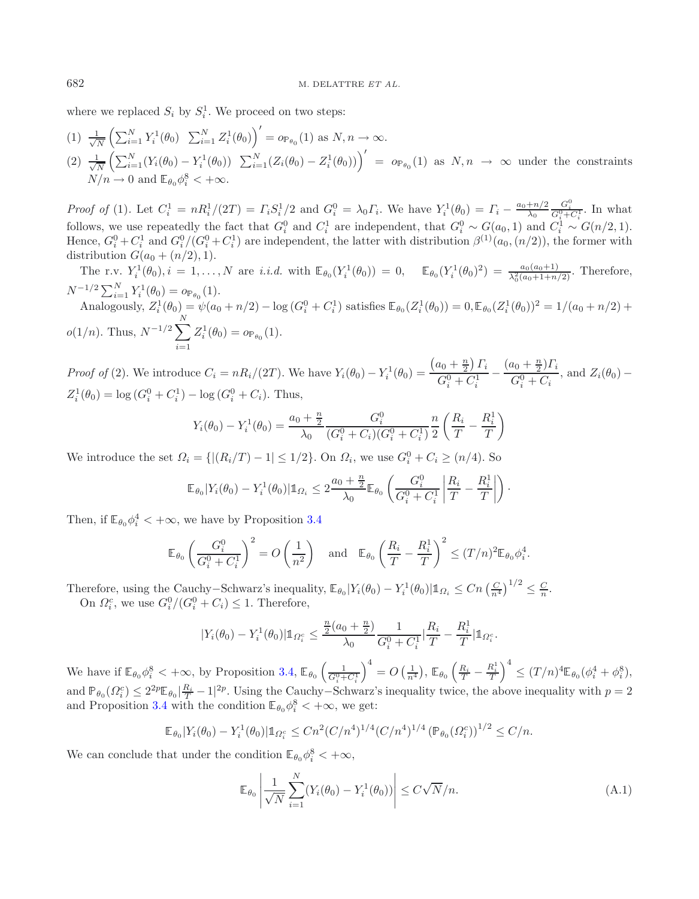where we replaced  $S_i$  by  $S_i^1$ . We proceed on two steps:

(1) 
$$
\frac{1}{\sqrt{N}} \left( \sum_{i=1}^{N} Y_i^1(\theta_0) \sum_{i=1}^{N} Z_i^1(\theta_0) \right)' = o_{\mathbb{P}_{\theta_0}}(1) \text{ as } N, n \to \infty.
$$
  
\n(2) 
$$
\frac{1}{\sqrt{N}} \left( \sum_{i=1}^{N} (Y_i(\theta_0) - Y_i^1(\theta_0)) \sum_{i=1}^{N} (Z_i(\theta_0) - Z_i^1(\theta_0)) \right)' = o_{\mathbb{P}_{\theta_0}}(1) \text{ as } N, n \to \infty \text{ under the constraints }
$$
  
\n
$$
N/n \to 0 \text{ and } \mathbb{E}_{\theta_0} \phi_i^8 < +\infty.
$$

*Proof of* (1). Let  $C_i^1 = nR_i^1/(2T) = \Gamma_i S_i^1/2$  and  $G_i^0 = \lambda_0 \Gamma_i$ . We have  $Y_i^1(\theta_0) = \Gamma_i - \frac{a_0 + n/2}{\lambda_0}$  $\frac{G_i^0}{G_i^0+C_i^1}$ . In what follows, we use repeatedly the fact that  $G_i^0$  and  $C_i^1$  are independent, that  $G_i^0 \sim G(a_0, 1)$  and  $C_i^1 \sim G(n/2, 1)$ .<br>Hence  $G_0^0 + G_1^1$  and  $G_0^0 / (G_0^0 + G_1^1)$  are independent the letter with distribution  $\mathcal{C}_0^{($ Hence,  $G_i^0 + C_i^1$  and  $G_i^0/(G_i^0 + C_i^1)$  are independent, the latter with distribution  $\beta^{(1)}(a_0,(n/2))$ , the former with distribution  $C(a_0, (n/2))$ distribution  $G(a_0 + (n/2), 1)$ .

The r.v.  $Y_i^1(\theta_0), i = 1, ..., N$  are *i.i.d.* with  $\mathbb{E}_{\theta_0}(Y_i^1(\theta_0)) = 0$ ,  $\mathbb{E}_{\theta_0}(Y_i^1(\theta_0)^2) = \frac{a_0(a_0+1)}{\lambda_0^2(a_0+1+n/2)}$ . Therefore,  $N^{-1/2} \sum_{i=1}^{N} Y_i^1(\theta_0) = o_{\mathbb{P}_{\theta_0}}(1).$ <br>Apploximize  $Z^{1}(\theta_0) = g_{\theta_0}(1).$ Analogously,  $Z_i^1(\theta_0) = \psi(a_0 + n/2) - \log (G_i^0 + C_i^1)$  satisfies  $\mathbb{E}_{\theta_0}(Z_i^1(\theta_0)) = 0$ ,  $\mathbb{E}_{\theta_0}(Z_i^1(\theta_0))^2 = 1/(a_0 + n/2) +$  $o(1/n)$ . Thus,  $N^{-1/2} \sum_{n=1}^{N}$  $i=1$  $Z_i^1(\theta_0) = o_{\mathbb{P}_{\theta_0}}(1).$ 

*Proof of* (2). We introduce  $C_i = nR_i/(2T)$ . We have  $Y_i(\theta_0) - Y_i^1(\theta_0) =$  $\frac{(a_0 + \frac{n}{2})}{C}$  $\sum_i$  $G_i^0 + C_i^1$  $-\frac{(a_0 + \frac{n}{2})\Gamma_i}{G_i^0 + C_i}$ , and  $Z_i(\theta_0)$  –  $Z_i^1(\theta_0) = \log (G_i^0 + C_i^1) - \log (G_i^0 + C_i)$ . Thus,

$$
Y_i(\theta_0) - Y_i^1(\theta_0) = \frac{a_0 + \frac{n}{2}}{\lambda_0} \frac{G_i^0}{(G_i^0 + C_i)(G_i^0 + C_i^1)} \frac{n}{2} \left(\frac{R_i}{T} - \frac{R_i^1}{T}\right)
$$

We introduce the set  $\Omega_i = \{ |(R_i/T) - 1| \leq 1/2 \}$ . On  $\Omega_i$ , we use  $G_i^0 + C_i \geq (n/4)$ . So

$$
\mathbb{E}_{\theta_0}|Y_i(\theta_0) - Y_i^1(\theta_0)|\mathbb{1}_{\Omega_i} \leq 2\frac{a_0 + \frac{n}{2}}{\lambda_0} \mathbb{E}_{\theta_0}\left(\frac{G_i^0}{G_i^0 + C_i^1} \left|\frac{R_i}{T} - \frac{R_i^1}{T}\right|\right).
$$

Then, if  $\mathbb{E}_{\theta_0} \phi_i^4 < +\infty$ , we have by Proposition [3.4](#page-5-2)

$$
\mathbb{E}_{\theta_0} \left( \frac{G_i^0}{G_i^0 + C_i^1} \right)^2 = O\left( \frac{1}{n^2} \right) \quad \text{and} \quad \mathbb{E}_{\theta_0} \left( \frac{R_i}{T} - \frac{R_i^1}{T} \right)^2 \le (T/n)^2 \mathbb{E}_{\theta_0} \phi_i^4.
$$

Therefore, using the Cauchy–Schwarz's inequality,  $\mathbb{E}_{\theta_0}|Y_i(\theta_0) - Y_i^1(\theta_0)|\mathbb{1}_{\Omega_i} \leq Cn \left(\frac{C}{n^4}\right)^{1/2} \leq \frac{C}{n}$ . On  $\Omega_i^c$ , we use  $G_i^0/(G_i^0 + C_i) \leq 1$ . Therefore,

$$
|Y_i(\theta_0) - Y_i^1(\theta_0)| \mathbb{1}_{\Omega_i^c} \le \frac{\frac{n}{2}(a_0 + \frac{n}{2})}{\lambda_0} \frac{1}{G_i^0 + C_i^1} \Big| \frac{R_i}{T} - \frac{R_i^1}{T} \Big| \mathbb{1}_{\Omega_i^c}.
$$

We have if  $\mathbb{E}_{\theta_0} \phi_i^8 < +\infty$ , by Proposition [3.4,](#page-5-2)  $\mathbb{E}_{\theta_0} \left( \frac{1}{G_i^0 + G_i^1} \right)$  $\int_0^4 = O\left(\frac{1}{n^4}\right), \,\mathbb{E}_{\theta_0} \left(\frac{R_i}{T} - \frac{R_i^1}{T}\right)^4 \leq (T/n)^4 \mathbb{E}_{\theta_0} (\phi_i^4 + \phi_i^8),$ and  $\mathbb{P}_{\theta_0}(\Omega_i^c) \leq 2^{2p} \mathbb{E}_{\theta_0} \left| \frac{R_i}{T} - 1 \right|^{2p}$ . Using the Cauchy–Schwarz's inequality twice, the above inequality with  $p = 2$ and Proposition [3.4](#page-5-2) with the condition  $\mathbb{E}_{\theta_0} \phi_i^8 < +\infty$ , we get:

$$
\mathbb{E}_{\theta_0}|Y_i(\theta_0) - Y_i^1(\theta_0)|\mathbb{1}_{\Omega_i^c} \leq Cn^2(C/n^4)^{1/4}(C/n^4)^{1/4}(\mathbb{P}_{\theta_0}(\Omega_i^c))^{1/2} \leq C/n.
$$

We can conclude that under the condition  $\mathbb{E}_{\theta_0} \phi_i^8 < +\infty$ ,

$$
\mathbb{E}_{\theta_0} \left| \frac{1}{\sqrt{N}} \sum_{i=1}^N (Y_i(\theta_0) - Y_i^1(\theta_0)) \right| \le C\sqrt{N/n}.
$$
\n(A.1)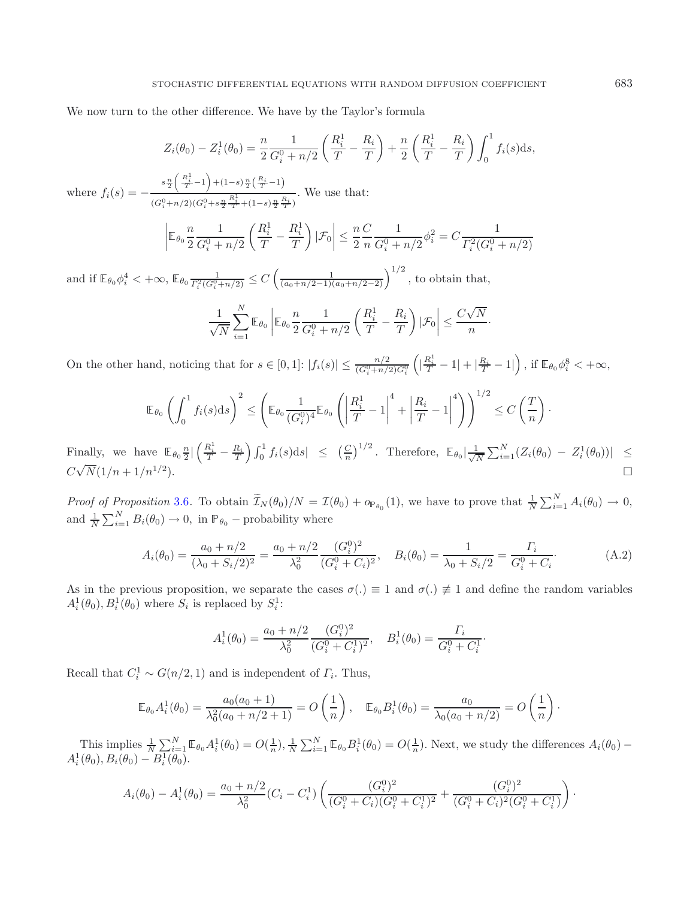We now turn to the other difference. We have by the Taylor's formula

$$
Z_i(\theta_0) - Z_i^1(\theta_0) = \frac{n}{2} \frac{1}{G_i^0 + n/2} \left( \frac{R_i^1}{T} - \frac{R_i}{T} \right) + \frac{n}{2} \left( \frac{R_i^1}{T} - \frac{R_i}{T} \right) \int_0^1 f_i(s) \, ds,
$$

where  $f_i(s) = -\frac{s \frac{n}{2} \left( \frac{R_i^1}{T} - 1 \right) + (1-s) \frac{n}{2} \left( \frac{R_i}{T} - 1 \right)}{\left( \frac{S_n^1}{S_n} \right) \left( \frac{S_n}{S_n} \right) + \left( \frac{S_n^1}{S_n} \right) \left( \frac{R_i^1}{S_n} \right) \left( \frac{S_n}{S_n} \right)}$  $(G_i^0+n/2)(G_i^0+s\frac{n}{2}\frac{R_i^1}{T}+(1-s)\frac{n}{2}\frac{R_i}{T})$ . We use that:

$$
\left| \mathbb{E}_{\theta_0} \frac{n}{2} \frac{1}{G_i^0 + n/2} \left( \frac{R_i^1}{T} - \frac{R_i^1}{T} \right) | \mathcal{F}_0 \right| \le \frac{n}{2} \frac{C}{n} \frac{1}{G_i^0 + n/2} \phi_i^2 = C \frac{1}{\Gamma_i^2 (G_i^0 + n/2)}
$$

and if  $\mathbb{E}_{\theta_0} \phi_i^4 < +\infty$ ,  $\mathbb{E}_{\theta_0} \frac{1}{\Gamma_i^2 (G_i^0 + n/2)} \leq C \left( \frac{1}{(a_0 + n/2 - 1)(a_0 + n/2 - 2)} \right)^{1/2}$ , to obtain that,

<span id="page-12-0"></span>
$$
\frac{1}{\sqrt{N}}\sum_{i=1}^N \mathbb{E}_{\theta_0} \left| \mathbb{E}_{\theta_0} \frac{n}{2} \frac{1}{G_i^0 + n/2} \left( \frac{R_i^1}{T} - \frac{R_i}{T} \right) | \mathcal{F}_0 \right| \leq \frac{C\sqrt{N}}{n}.
$$

On the other hand, noticing that for  $s \in [0,1]$ :  $|f_i(s)| \leq \frac{n/2}{(G_i^0 + n/2)G_i^0}$  $\left(|\frac{R_i^1}{T}-1|+|\frac{R_i}{T}-1|\right)$  , if  $\mathbb{E}_{\theta_0}\phi_i^8<+\infty$ 

$$
\mathbb{E}_{\theta_0} \left( \int_0^1 f_i(s) \mathrm{d}s \right)^2 \le \left( \mathbb{E}_{\theta_0} \frac{1}{(G_i^0)^4} \mathbb{E}_{\theta_0} \left( \left| \frac{R_i^1}{T} - 1 \right|^4 + \left| \frac{R_i}{T} - 1 \right|^4 \right) \right)^{1/2} \le C \left( \frac{T}{n} \right).
$$

Finally, we have  $\mathbb{E}_{\theta_0} \frac{n}{2} \left| \left( \frac{R_i^1}{T} - \frac{R_i}{T} \right) \int_0^1 f_i(s) ds \right| \leq \left( \frac{C}{n} \right)^{1/2}$ . Therefore,  $\mathbb{E}_{\theta_0} \left| \frac{1}{\sqrt{N}} \sum_{i=1}^N (Z_i(\theta_0) - Z_i^1(\theta_0)) \right| \leq$  $C\sqrt{N}(1/n + 1/n^{1/2}).$ 

*Proof of Proposition* [3.6](#page-5-4). To obtain  $\widetilde{\mathcal{I}}_N(\theta_0)/N = \mathcal{I}(\theta_0) + o_{\mathbb{P}_{\theta_0}}(1)$ , we have to prove that  $\frac{1}{N} \sum_{i=1}^N A_i(\theta_0) \to 0$ , and  $\frac{1}{N} \sum_{i=1}^{N} B_i(\theta_0) \to 0$ , in  $\mathbb{P}_{\theta_0}$  – probability where

$$
A_i(\theta_0) = \frac{a_0 + n/2}{(\lambda_0 + S_i/2)^2} = \frac{a_0 + n/2}{\lambda_0^2} \frac{(G_i^0)^2}{(G_i^0 + C_i)^2}, \quad B_i(\theta_0) = \frac{1}{\lambda_0 + S_i/2} = \frac{\Gamma_i}{G_i^0 + C_i}.
$$
 (A.2)

As in the previous proposition, we separate the cases  $\sigma(.) \equiv 1$  and  $\sigma(.) \not\equiv 1$  and define the random variables  $A_i^1(\theta_0), B_i^1(\theta_0)$  where  $S_i$  is replaced by  $S_i^1$ :

$$
A_i^1(\theta_0) = \frac{a_0 + n/2}{\lambda_0^2} \frac{(G_i^0)^2}{(G_i^0 + C_i^1)^2}, \quad B_i^1(\theta_0) = \frac{\Gamma_i}{G_i^0 + C_i^1}.
$$

Recall that  $C_i^1 \sim G(n/2, 1)$  and is independent of  $\Gamma_i$ . Thus,

$$
\mathbb{E}_{\theta_0} A_i^1(\theta_0) = \frac{a_0(a_0 + 1)}{\lambda_0^2(a_0 + n/2 + 1)} = O\left(\frac{1}{n}\right), \quad \mathbb{E}_{\theta_0} B_i^1(\theta_0) = \frac{a_0}{\lambda_0(a_0 + n/2)} = O\left(\frac{1}{n}\right).
$$

This implies  $\frac{1}{N} \sum_{i=1}^{N} \mathbb{E}_{\theta_0} A_i^1(\theta_0) = O(\frac{1}{n}), \frac{1}{N} \sum_{i=1}^{N} \mathbb{E}_{\theta_0} B_i^1(\theta_0) = O(\frac{1}{n}).$  Next, we study the differences  $A_i(\theta_0) - A_i^1(\theta_0), B_i(\theta_0) - B_i^1(\theta_0).$ 

$$
A_i(\theta_0) - A_i^1(\theta_0) = \frac{a_0 + n/2}{\lambda_0^2} (C_i - C_i^1) \left( \frac{(G_i^0)^2}{(G_i^0 + C_i)(G_i^0 + C_i^1)^2} + \frac{(G_i^0)^2}{(G_i^0 + C_i)^2 (G_i^0 + C_i^1)} \right).
$$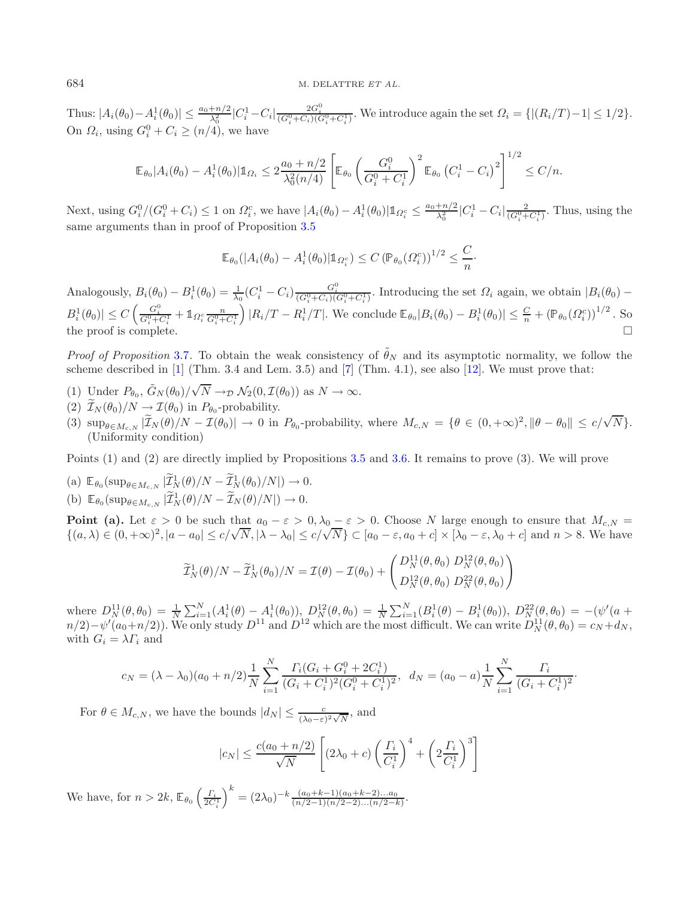Thus:  $|A_i(\theta_0) - A_i^1(\theta_0)| \leq \frac{a_0 + n/2}{\lambda_0^2} |C_i^1 - C_i| \frac{2G_i^0}{(G_i^0 + C_i)(G_i^0 + C_i^1)}$ . We introduce again the set  $\Omega_i = \{|(R_i/T) - 1| \leq 1/2\}$ . On  $\Omega_i$ , using  $G_i^0 + C_i \geq (n/4)$ , we have

$$
\mathbb{E}_{\theta_0}|A_i(\theta_0) - A_i^1(\theta_0)|\mathbb{1}_{\Omega_i} \leq 2\frac{a_0 + n/2}{\lambda_0^2(n/4)} \left[ \mathbb{E}_{\theta_0} \left( \frac{G_i^0}{G_i^0 + C_i^1} \right)^2 \mathbb{E}_{\theta_0} \left( C_i^1 - C_i \right)^2 \right]^{1/2} \leq C/n.
$$

Next, using  $G_i^0/(G_i^0 + C_i) \leq 1$  on  $\Omega_i^c$ , we have  $|A_i(\theta_0) - A_i^1(\theta_0)| \mathbb{1}_{\Omega_i^c} \leq \frac{a_0 + n/2}{\lambda_0^2} |C_i^1 - C_i| \frac{2}{(G_i^0 + C_i^1)}$ . Thus, using the same arguments than in proof of Proposition [3.5](#page-5-3)

$$
\mathbb{E}_{\theta_0}(|A_i(\theta_0) - A_i^1(\theta_0)| \mathbb{1}_{\Omega_i^c}) \le C \left(\mathbb{P}_{\theta_0}(\Omega_i^c)\right)^{1/2} \le \frac{C}{n}.
$$

Analogously,  $B_i(\theta_0) - B_i^1(\theta_0) = \frac{1}{\lambda_0} (C_i^1 - C_i) \frac{G_i^0}{(G_i^0 + C_i)(G_i^0 + C_i^1)}$ . Introducing the set  $\Omega_i$  again, we obtain  $|B_i(\theta_0) |B_i^1(\theta_0)| \leq C \left( \frac{G_i^0}{G_i^0 + G_i^1} + \mathbb{1}_{\Omega_i^c} \frac{n}{G_i^0 + C_i^1} \right)$ <br>the prest is complete  $\left(|R_i/T - R_i^1/T|$ . We conclude  $\mathbb{E}_{\theta_0}|B_i(\theta_0) - B_i^1(\theta_0)| \leq \frac{C}{n} + (\mathbb{P}_{\theta_0}(\Omega_i^c))^{1/2}$ . So the proof is complete.  $\Box$ 

*Proof of Proposition* [3.7](#page-5-5). To obtain the weak consistency of  $\tilde{\theta}_N$  and its asymptotic normality, we follow the scheme described in [\[1](#page-17-9)] (Thm. 3.4 and Lem. 3.5) and [\[7\]](#page-17-10) (Thm. 4.1), see also [\[12\]](#page-17-11). We must prove that:

- (1) Under  $P_{\theta_0}$ ,  $\tilde{G}_N(\theta_0)/\sqrt{\theta_0}$  $N \to_{\mathcal{D}} \mathcal{N}_2(0, \mathcal{I}(\theta_0))$  as  $N \to \infty$ .
- (2)  $\mathcal{I}_N(\theta_0)/N \to \mathcal{I}(\theta_0)$  in  $P_{\theta_0}$ -probability.
- (3)  $\sup_{\theta \in M_{c,N}} |\widetilde{\mathcal{I}}_N(\theta)/N \mathcal{I}(\theta_0)| \to 0$  in  $P_{\theta_0}$ -probability, where  $M_{c,N} = {\theta \in (0, +\infty)^2, \|\theta \theta_0\| \leq c/\sqrt{N}}.$ <br>(Ibiformity explicion) (Uniformity condition)

Points (1) and (2) are directly implied by Propositions [3.5](#page-5-3) and [3.6.](#page-5-4) It remains to prove (3). We will prove

 $(a) \mathbb{E}_{\theta_0}(\sup_{\theta \in M_{c,N}} |\mathcal{I}_N^1(\theta)/N - \mathcal{I}_N^1(\theta_0)/N|) \to 0.$ (b)  $\mathbb{E}_{\theta_0}(\sup_{\theta \in M_{c,N}} |\mathcal{I}_N^1(\theta)/N - \mathcal{I}_N(\theta)/N|) \to 0.$ 

**Point (a).** Let  $\varepsilon > 0$  be such that  $a_0 - \varepsilon > 0$ ,  $\lambda_0 - \varepsilon > 0$ . Choose N large enough to ensure that  $M_{c,N} = \{(a, \lambda) \in (0, +\infty)^2, |a - a_0| \le c/\sqrt{N}, |\lambda - \lambda_0| \le c/\sqrt{N}\} \subset [a_0 - \varepsilon, a_0 + c] \times [\lambda_0 - \varepsilon, \lambda_0 + c]$  and  $n > 8$ . We ha

$$
\widetilde{\mathcal{I}}_N^1(\theta)/N - \widetilde{\mathcal{I}}_N^1(\theta_0)/N = \mathcal{I}(\theta) - \mathcal{I}(\theta_0) + \begin{pmatrix} D_N^{11}(\theta, \theta_0) \ D_N^{12}(\theta, \theta_0) \\ D_N^{12}(\theta, \theta_0) \ D_N^{22}(\theta, \theta_0) \end{pmatrix}
$$

where  $D_N^{11}(\theta, \theta_0) = \frac{1}{N} \sum_{i=1}^N (A_i^1(\theta) - A_i^1(\theta_0)), D_N^{12}(\theta, \theta_0) = \frac{1}{N} \sum_{i=1}^N (B_i^1(\theta) - B_i^1(\theta_0)), D_N^{22}(\theta, \theta_0) = -(\psi'(a + \theta_0))$  $n/2$  –  $\psi'(a_0+n/2)$ ). We only study  $D^{11}$  and  $D^{12}$  which are the most difficult. We can write  $D_N^{11}(\theta, \theta_0) = c_N + d_N$ , with  $G_i = \lambda F_i$  and

$$
c_N = (\lambda - \lambda_0)(a_0 + n/2) \frac{1}{N} \sum_{i=1}^N \frac{\Gamma_i (G_i + G_i^0 + 2C_i^1)}{(G_i + C_i^1)^2 (G_i^0 + C_i^1)^2}, \ d_N = (a_0 - a) \frac{1}{N} \sum_{i=1}^N \frac{\Gamma_i}{(G_i + C_i^1)^2}.
$$

For  $\theta \in M_{c,N}$ , we have the bounds  $|d_N| \leq \frac{c}{(\lambda_0 - \varepsilon)^2 \sqrt{N}}$ , and

$$
|c_N| \le \frac{c(a_0 + n/2)}{\sqrt{N}} \left[ (2\lambda_0 + c) \left( \frac{\Gamma_i}{C_i^1} \right)^4 + \left( 2 \frac{\Gamma_i}{C_i^1} \right)^3 \right]
$$

We have, for  $n > 2k$ ,  $\mathbb{E}_{\theta_0} \left( \frac{\Gamma_i}{2C} \right)$  $2C_i^1$  $\bigg)^k = (2\lambda_0)^{-k} \frac{(a_0 + k - 1)(a_0 + k - 2)...a_0}{(n/2 - 1)(n/2 - 2)...(n/2 - k)}.$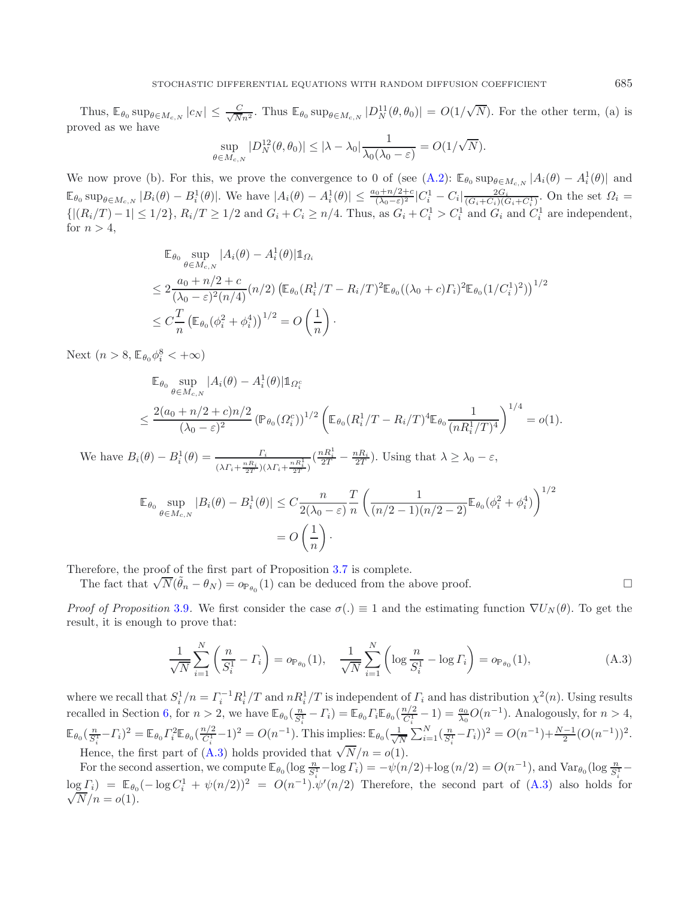Thus,  $\mathbb{E}_{\theta_0} \sup_{\theta \in M_{c,N}} |c_N| \leq \frac{C}{\sqrt{Nn^2}}$ . Thus  $\mathbb{E}_{\theta_0} \sup_{\theta \in M_{c,N}} |D_N^{11}(\theta, \theta_0)| = O(1/\sqrt{N})$ √ N). For the other term, (a) is proved as we have

$$
\sup_{\theta \in M_{c,N}} |D_N^{12}(\theta, \theta_0)| \le |\lambda - \lambda_0| \frac{1}{\lambda_0(\lambda_0 - \varepsilon)} = O(1/\sqrt{N}).
$$

We now prove (b). For this, we prove the convergence to 0 of (see  $(A.2)$ :  $\mathbb{E}_{\theta_0} \sup_{\theta \in M_{c,N}} |A_i(\theta) - A_i^1(\theta)|$  and  $\mathbb{E}_{\theta_0} \sup_{\theta \in M_{c,N}} |B_i(\theta) - B_i^1(\theta)|$ . We have  $|A_i(\theta) - A_i^1(\theta)| \le \frac{a_0 + n/2 + c}{(\lambda_0 - \varepsilon)^2} |C_i^1 - C_i| \frac{2G_i}{(G_i + C_i)(G_i + C_i^1)}$ . On the set  $\Omega_i = \{|(R_i/T) - 1| \le 1/2\}$ ,  $R_i/T \ge 1/2$  and  $G_i + C_i \ge n/4$ . Thus, as  $G_i + C_i^1 > C_i^1$  and for  $n > 4$ ,

$$
\mathbb{E}_{\theta_0} \sup_{\theta \in M_{c,N}} |A_i(\theta) - A_i^1(\theta)| \mathbb{1}_{\Omega_i}
$$
\n
$$
\leq 2 \frac{a_0 + n/2 + c}{(\lambda_0 - \varepsilon)^2 (n/4)} (n/2) \left( \mathbb{E}_{\theta_0} (R_i^1 / T - R_i / T)^2 \mathbb{E}_{\theta_0} ((\lambda_0 + c) \Gamma_i)^2 \mathbb{E}_{\theta_0} (1 / C_i^1)^2) \right)^{1/2}
$$
\n
$$
\leq C \frac{T}{n} \left( \mathbb{E}_{\theta_0} (\phi_i^2 + \phi_i^4) \right)^{1/2} = O\left(\frac{1}{n}\right).
$$

Next  $(n > 8, \mathbb{E}_{\theta_0} \phi_i^8 < +\infty)$ 

$$
\mathbb{E}_{\theta_0} \sup_{\theta \in M_{c,N}} |A_i(\theta) - A_i^1(\theta)| \mathbb{1}_{\Omega_i^c}
$$
\n
$$
\leq \frac{2(a_0 + n/2 + c)n/2}{(\lambda_0 - \varepsilon)^2} (\mathbb{P}_{\theta_0}(\Omega_i^c))^{1/2} \left( \mathbb{E}_{\theta_0}(R_i^1/T - R_i/T)^4 \mathbb{E}_{\theta_0} \frac{1}{(nR_i^1/T)^4} \right)^{1/4} = o(1).
$$

We have  $B_i(\theta) - B_i^1(\theta) = \frac{\Gamma_i}{(\lambda \Gamma_i + \frac{nR_i}{2T})(\lambda \Gamma_i + \frac{nR_i^1}{2T})}$  $\left(\frac{nR_i^1}{2T} - \frac{nR_i}{2T}\right)$ . Using that  $\lambda \ge \lambda_0 - \varepsilon$ ,

<span id="page-14-0"></span>
$$
\mathbb{E}_{\theta_0} \sup_{\theta \in M_{c,N}} |B_i(\theta) - B_i^1(\theta)| \le C \frac{n}{2(\lambda_0 - \varepsilon)} \frac{T}{n} \left( \frac{1}{(n/2 - 1)(n/2 - 2)} \mathbb{E}_{\theta_0} (\phi_i^2 + \phi_i^4) \right)^{1/2}
$$
  
=  $O\left(\frac{1}{n}\right).$ 

Therefore, the proof of the first part of Proposition [3.7](#page-5-5) is complete.

The fact that  $\sqrt{N}(\tilde{\theta}_n - \theta_N) = o_{\mathbb{P}_{\theta_0}}(1)$  can be deduced from the above proof.

*Proof of Proposition* [3.9](#page-6-2). We first consider the case  $\sigma(.) \equiv 1$  and the estimating function  $\nabla U_N(\theta)$ . To get the result, it is enough to prove that:

$$
\frac{1}{\sqrt{N}} \sum_{i=1}^{N} \left( \frac{n}{S_i^1} - \Gamma_i \right) = o_{\mathbb{P}_{\theta_0}}(1), \quad \frac{1}{\sqrt{N}} \sum_{i=1}^{N} \left( \log \frac{n}{S_i^1} - \log \Gamma_i \right) = o_{\mathbb{P}_{\theta_0}}(1), \tag{A.3}
$$

where we recall that  $S_i^1/n = \Gamma_i^{-1} R_i^1/T$  and  $nR_i^1/T$  is independent of  $\Gamma_i$  and has distribution  $\chi^2(n)$ . Using results recalled in Section [6,](#page-16-0) for  $n > 2$ , we have  $\mathbb{E}_{\theta_0}(\frac{n}{S_i^1} - \Gamma_i) = \mathbb{E}_{\theta_0} \Gamma_i \mathbb{E}_{\theta_0}(\frac{n/2}{C_i^1} - 1) = \frac{a_0}{\lambda_0} O(n^{-1})$ . Analogously, for  $n > 4$ ,  $\mathbb{E}_{\theta_0}(\frac{n}{S_i^1} - \Gamma_i)^2 = \mathbb{E}_{\theta_0} \Gamma_i^2 \mathbb{E}_{\theta_0}(\frac{n}{C_i^1} - 1)^2 = O(n^{-1})$ . This implies:  $\mathbb{E}_{\theta_0}(\frac{1}{\sqrt{N}} \sum_{i=1}^N (\frac{n}{S_i^1} - \Gamma_i))^2 = O(n^{-1}) + \frac{N-1}{2}(O(n^{-1}))^2$ . Hence, the first part of [\(A.3\)](#page-14-0) holds provided that  $\sqrt{N}/n = o(1)$ .

For the second assertion, we compute  $\mathbb{E}_{\theta_0}(\log \frac{n}{S_i^1}-\log \Gamma_i) = -\psi(n/2)+\log(n/2) = O(n^{-1}),$  and  $\text{Var}_{\theta_0}(\log \frac{n}{S_i^1}-\log n)$  $\log I_i = \mathbb{E}_{\theta_0}(-\log C_i^1 + \psi(n/2))^2 = O(n^{-1}).\psi'(n/2)$  Therefore, the second part of [\(A.3\)](#page-14-0) also holds for  $\sqrt{N}/n = o(1)$ .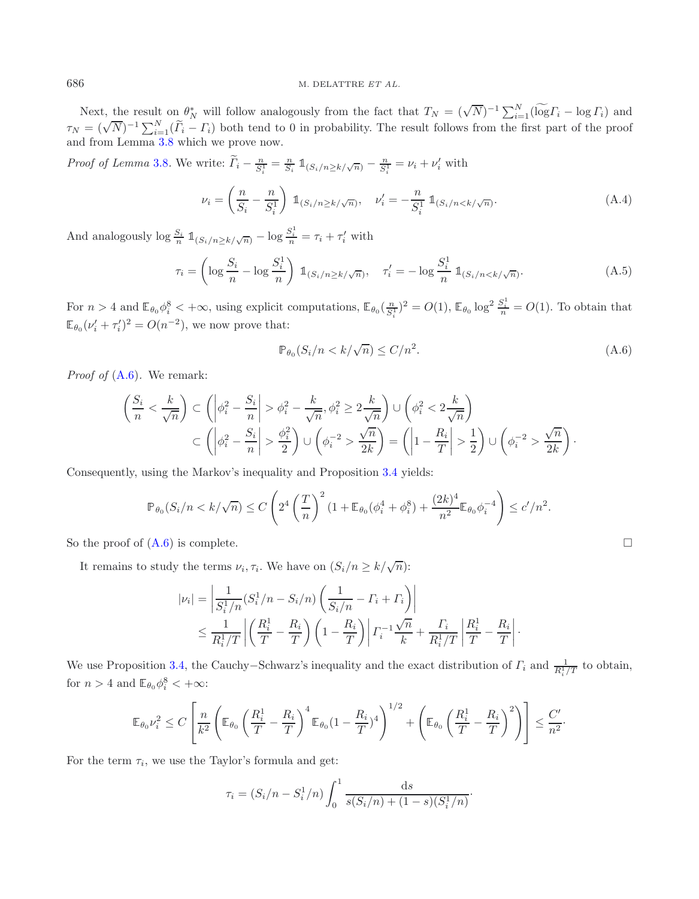Next, the result on  $\theta_N^*$  will follow analogously from the fact that  $T_N = (\sqrt{N})^{-1} \sum_{i=1}^N (\widetilde{\log} \Gamma_i - \log \Gamma_i)$  and  $\theta_N = (\sqrt{N})^{-1} \sum_{i=1}^N (\widetilde{\log} \Gamma_i - \log \Gamma_i)$  and  $\tau_N = (\sqrt{N})^{-1} \sum_{i=1}^N (\widetilde{I}_i - I_i)$  both tend to 0 in probability. The result follows from the first part of the proof and from Lemma [3.8](#page-6-3) which we prove now.

*Proof of Lemma* [3.8](#page-6-3)*.* We write:  $\tilde{\Gamma}_i - \frac{n}{S_i^1} = \frac{n}{S_i} \mathbb{1}_{(S_i/n \ge k/\sqrt{n})} - \frac{n}{S_i^1} = \nu_i + \nu'_i$  with

<span id="page-15-0"></span>
$$
\nu_i = \left(\frac{n}{S_i} - \frac{n}{S_i^1}\right) \mathbb{1}_{(S_i/n \ge k/\sqrt{n})}, \quad \nu_i' = -\frac{n}{S_i^1} \mathbb{1}_{(S_i/n < k/\sqrt{n})}.\tag{A.4}
$$

And analogously  $\log \frac{S_i}{n} \mathbb{1}_{(S_i/n \ge k/\sqrt{n})} - \log \frac{S_i^1}{n} = \tau_i + \tau'_i$  with

$$
\tau_i = \left(\log \frac{S_i}{n} - \log \frac{S_i^1}{n}\right) \, \mathbb{1}_{(S_i/n \ge k/\sqrt{n})}, \quad \tau_i' = -\log \frac{S_i^1}{n} \, \mathbb{1}_{(S_i/n < k/\sqrt{n})}.\tag{A.5}
$$

For  $n > 4$  and  $\mathbb{E}_{\theta_0} \phi_i^8 < +\infty$ , using explicit computations,  $\mathbb{E}_{\theta_0} \left( \frac{n}{S_i^1} \right)^2 = O(1)$ ,  $\mathbb{E}_{\theta_0} \log^2 \frac{S_i^1}{n} = O(1)$ . To obtain that  $\mathbb{E}_{\theta_0}(\nu'_i + \tau'_i)^2 = O(n^{-2}),$  we now prove that:

$$
\mathbb{P}_{\theta_0}(S_i/n < k/\sqrt{n}) \le C/n^2. \tag{A.6}
$$

*Proof of* [\(A.6\)](#page-15-0)*.* We remark:

$$
\left(\frac{S_i}{n} < \frac{k}{\sqrt{n}}\right) \subset \left(\left|\phi_i^2 - \frac{S_i}{n}\right| > \phi_i^2 - \frac{k}{\sqrt{n}}, \phi_i^2 \ge 2\frac{k}{\sqrt{n}}\right) \cup \left(\phi_i^2 < 2\frac{k}{\sqrt{n}}\right)
$$
\n
$$
\subset \left(\left|\phi_i^2 - \frac{S_i}{n}\right| > \frac{\phi_i^2}{2}\right) \cup \left(\phi_i^{-2} > \frac{\sqrt{n}}{2k}\right) = \left(\left|1 - \frac{R_i}{T}\right| > \frac{1}{2}\right) \cup \left(\phi_i^{-2} > \frac{\sqrt{n}}{2k}\right).
$$

Consequently, using the Markov's inequality and Proposition [3.4](#page-5-2) yields:

$$
\mathbb{P}_{\theta_0}(S_i/n < k/\sqrt{n}) \le C\left(2^4 \left(\frac{T}{n}\right)^2 (1 + \mathbb{E}_{\theta_0}(\phi_i^4 + \phi_i^8) + \frac{(2k)^4}{n^2} \mathbb{E}_{\theta_0} \phi_i^{-4}\right) \le c'/n^2.
$$

So the proof of  $(A.6)$  is complete.  $\Box$ 

It remains to study the terms  $\nu_i, \tau_i$ . We have on  $(S_i/n \geq k/\sqrt{n})$ :

$$
|\nu_{i}| = \left| \frac{1}{S_{i}^{1}/n} (S_{i}^{1}/n - S_{i}/n) \left( \frac{1}{S_{i}/n} - \Gamma_{i} + \Gamma_{i} \right) \right|
$$
  

$$
\leq \frac{1}{R_{i}^{1}/T} \left| \left( \frac{R_{i}^{1}}{T} - \frac{R_{i}}{T} \right) \left( 1 - \frac{R_{i}}{T} \right) \right| \Gamma_{i}^{-1} \frac{\sqrt{n}}{k} + \frac{\Gamma_{i}}{R_{i}^{1}/T} \left| \frac{R_{i}^{1}}{T} - \frac{R_{i}}{T} \right|.
$$

We use Proposition [3.4,](#page-5-2) the Cauchy–Schwarz's inequality and the exact distribution of  $\Gamma_i$  and  $\frac{1}{R_i^1/T}$  to obtain, for  $n > 4$  and  $\mathbb{E}_{\theta_0} \phi_i^8 < +\infty$ :

$$
\mathbb{E}_{\theta_0} \nu_i^2 \le C \left[ \frac{n}{k^2} \left( \mathbb{E}_{\theta_0} \left( \frac{R_i^1}{T} - \frac{R_i}{T} \right)^4 \mathbb{E}_{\theta_0} (1 - \frac{R_i}{T})^4 \right)^{1/2} + \left( \mathbb{E}_{\theta_0} \left( \frac{R_i^1}{T} - \frac{R_i}{T} \right)^2 \right) \right] \le \frac{C'}{n^2}.
$$

For the term  $\tau_i$ , we use the Taylor's formula and get:

$$
\tau_i = (S_i/n - S_i^1/n) \int_0^1 \frac{ds}{s(S_i/n) + (1-s)(S_i^1/n)}.
$$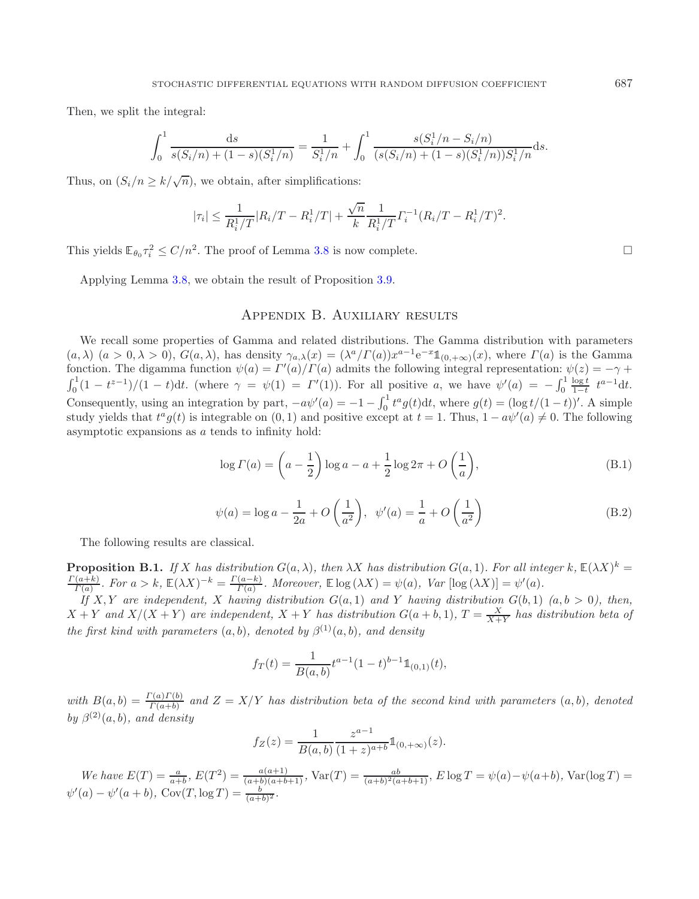Then, we split the integral:

$$
\int_0^1 \frac{ds}{s(S_i/n) + (1-s)(S_i^1/n)} = \frac{1}{S_i^1/n} + \int_0^1 \frac{s(S_i^1/n - S_i/n)}{(s(S_i/n) + (1-s)(S_i^1/n))S_i^1/n} ds.
$$

Thus, on  $(S_i/n \geq k/\sqrt{n})$ , we obtain, after simplifications:

$$
|\tau_i| \leq \frac{1}{R_i^1/T} |R_i/T - R_i^1/T| + \frac{\sqrt{n}}{k} \frac{1}{R_i^1/T} \Gamma_i^{-1} (R_i/T - R_i^1/T)^2.
$$

This yields  $\mathbb{E}_{\theta_0} \tau_i^2 \le C/n^2$ . The proof of Lemma [3.8](#page-6-3) is now complete.

Applying Lemma [3.8,](#page-6-3) we obtain the result of Proposition [3.9.](#page-6-2)

## <span id="page-16-1"></span>Appendix B. Auxiliary results

<span id="page-16-0"></span>We recall some properties of Gamma and related distributions. The Gamma distribution with parameters  $(a, \lambda)$   $(a > 0, \lambda > 0)$ ,  $G(a, \lambda)$ , has density  $\gamma_{a,\lambda}(x) = (\lambda^a/\Gamma(a))x^{a-1}e^{-x}\mathbb{1}_{(0,+\infty)}(x)$ , where  $\Gamma(a)$  is the Gamma fonction. The digamma function  $\psi(a) = \Gamma'(a)/\Gamma(a)$  admits the following integral representation:  $\psi(z) = -\gamma + \gamma(z)$  $\int_0^1 (1 - t^{z-1})/(1 - t) dt$ . (where  $\gamma = \psi(1) = \Gamma'(1)$ ). For all positive a, we have  $\psi'(a) = -\int_0^1 \frac{\log t}{1 - t} t^{a-1} dt$ . Consequently, using an integration by part,  $-a\psi'(a) = -1 - \int_0^1 t^a g(t) dt$ , where  $g(t) = (\log t/(1-t))'$ . A simple study vields that  $t^a g(t)$  is integrable on (0, 1) and positive except at  $t = 1$ . Thus  $1 - a\psi'(a) \neq 0$ . The following study yields that  $t^a g(t)$  is integrable on  $(0,1)$  and positive except at  $t = 1$ . Thus,  $1 - a\psi'(a) \neq 0$ . The following asymptotic expansions as a tends to infinity hold:

$$
\log \Gamma(a) = \left(a - \frac{1}{2}\right) \log a - a + \frac{1}{2} \log 2\pi + O\left(\frac{1}{a}\right),\tag{B.1}
$$

$$
\psi(a) = \log a - \frac{1}{2a} + O\left(\frac{1}{a^2}\right), \quad \psi'(a) = \frac{1}{a} + O\left(\frac{1}{a^2}\right)
$$
\n(B.2)

The following results are classical.

**Proposition B.1.** *If* X *has distribution*  $G(a, \lambda)$ *, then*  $\lambda X$  *has distribution*  $G(a, 1)$ *. For all integer* k<sub>*,*</sub>  $\mathbb{E}(\lambda X)^k =$  $\frac{\Gamma(a+k)}{\Gamma(a)}$ . For  $a > k$ ,  $\mathbb{E}(\lambda X)^{-k} = \frac{\Gamma(a-k)}{\Gamma(a)}$ . Moreover,  $\mathbb{E} \log(\lambda X) = \psi(a)$ ,  $Var [\log(\lambda X)] = \psi'(a)$ .<br>If Y Y are independent. Y hereing distribution  $C(a, 1)$  and Y hereing distribution  $C(b, 1)$ .

If X, Y are independent, X having distribution  $G(a, 1)$  and Y having distribution  $G(b, 1)$   $(a, b > 0)$ , then,  $X + Y$  and  $X/(X + Y)$  are independent,  $X + Y$  has distribution  $G(a + b, 1)$ ,  $T = \frac{X}{X+Y}$  has distribution beta of *the first kind with parameters*  $(a, b)$ *, denoted by*  $\beta^{(1)}(a, b)$ *, and density* 

$$
f_T(t) = \frac{1}{B(a,b)} t^{a-1} (1-t)^{b-1} \mathbb{1}_{(0,1)}(t),
$$

*with*  $B(a, b) = \frac{\Gamma(a)\Gamma(b)}{\Gamma(a+b)}$  and  $Z = X/Y$  has distribution beta of the second kind with parameters  $(a, b)$ , denoted *by*  $\beta^{(2)}(a, b)$ *, and density* 

$$
f_Z(z) = \frac{1}{B(a,b)} \frac{z^{a-1}}{(1+z)^{a+b}} \mathbb{1}_{(0,+\infty)}(z).
$$

*We have*  $E(T) = \frac{a}{a+b}$ ,  $E(T^2) = \frac{a(a+1)}{(a+b)(a+b+1)}$ ,  $Var(T) = \frac{ab}{(a+b)^2(a+b+1)}$ ,  $E \log T = \psi(a) - \psi(a+b)$ ,  $Var(\log T) = \psi'(a) - \psi'(a+b)$ ,  $Cov(T, \log T) = \frac{b}{(a+b)^2}$ .

 $\Box$